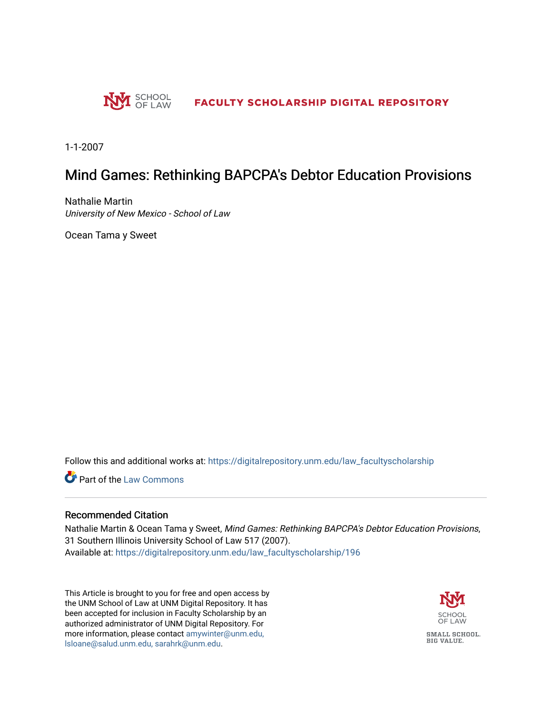

1-1-2007

# Mind Games: Rethinking BAPCPA's Debtor Education Provisions

Nathalie Martin University of New Mexico - School of Law

Ocean Tama y Sweet

Follow this and additional works at: [https://digitalrepository.unm.edu/law\\_facultyscholarship](https://digitalrepository.unm.edu/law_facultyscholarship?utm_source=digitalrepository.unm.edu%2Flaw_facultyscholarship%2F196&utm_medium=PDF&utm_campaign=PDFCoverPages) 

**Part of the [Law Commons](http://network.bepress.com/hgg/discipline/578?utm_source=digitalrepository.unm.edu%2Flaw_facultyscholarship%2F196&utm_medium=PDF&utm_campaign=PDFCoverPages)** 

# Recommended Citation

Nathalie Martin & Ocean Tama y Sweet, Mind Games: Rethinking BAPCPA's Debtor Education Provisions, 31 Southern Illinois University School of Law 517 (2007). Available at: [https://digitalrepository.unm.edu/law\\_facultyscholarship/196](https://digitalrepository.unm.edu/law_facultyscholarship/196?utm_source=digitalrepository.unm.edu%2Flaw_facultyscholarship%2F196&utm_medium=PDF&utm_campaign=PDFCoverPages) 

This Article is brought to you for free and open access by the UNM School of Law at UNM Digital Repository. It has been accepted for inclusion in Faculty Scholarship by an authorized administrator of UNM Digital Repository. For more information, please contact [amywinter@unm.edu,](mailto:amywinter@unm.edu,%20lsloane@salud.unm.edu,%20sarahrk@unm.edu)  [lsloane@salud.unm.edu, sarahrk@unm.edu.](mailto:amywinter@unm.edu,%20lsloane@salud.unm.edu,%20sarahrk@unm.edu)



**BIG VALUE.**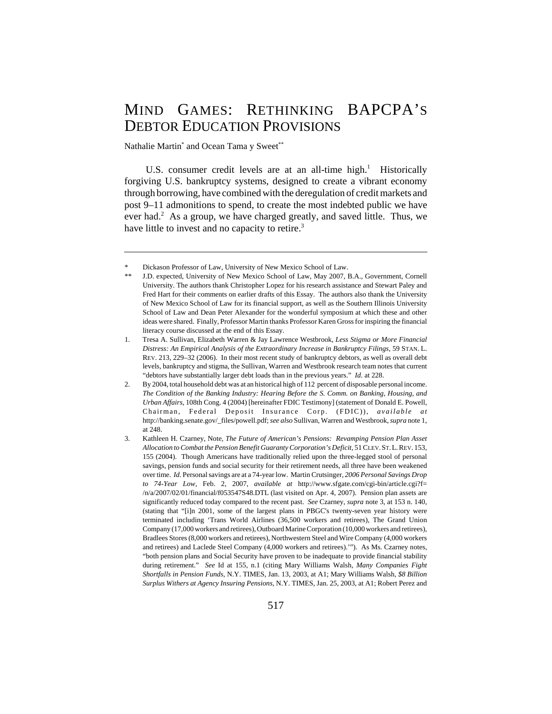# MIND GAMES: RETHINKING BAPCPA'S DEBTOR EDUCATION PROVISIONS

Nathalie Martin<sup>\*</sup> and Ocean Tama y Sweet<sup>\*\*</sup>

U.S. consumer credit levels are at an all-time high.<sup>1</sup> Historically forgiving U.S. bankruptcy systems, designed to create a vibrant economy through borrowing, have combined with the deregulation of credit markets and post 9–11 admonitions to spend, to create the most indebted public we have ever had.<sup>2</sup> As a group, we have charged greatly, and saved little. Thus, we have little to invest and no capacity to retire.<sup>3</sup>

Dickason Professor of Law, University of New Mexico School of Law.

J.D. expected, University of New Mexico School of Law, May 2007, B.A., Government, Cornell University. The authors thank Christopher Lopez for his research assistance and Stewart Paley and Fred Hart for their comments on earlier drafts of this Essay. The authors also thank the University of New Mexico School of Law for its financial support, as well as the Southern Illinois University School of Law and Dean Peter Alexander for the wonderful symposium at which these and other ideas were shared. Finally, Professor Martin thanks Professor Karen Gross for inspiring the financial literacy course discussed at the end of this Essay.

<sup>1.</sup> Tresa A. Sullivan, Elizabeth Warren & Jay Lawrence Westbrook, *Less Stigma or More Financial Distress: An Empirical Analysis of the Extraordinary Increase in Bankruptcy Filings,* 59 STAN. L. REV. 213, 229–32 (2006). In their most recent study of bankruptcy debtors, as well as overall debt levels, bankruptcy and stigma, the Sullivan, Warren and Westbrook research team notes that current "debtors have substantially larger debt loads than in the previous years." *Id.* at 228.

<sup>2.</sup> By 2004, total household debt was at an historical high of 112 percent of disposable personal income. *The Condition of the Banking Industry: Hearing Before the S. Comm. on Banking, Housing, and Urban Affairs*, 108th Cong. 4 (2004) [hereinafter FDIC Testimony] (statement of Donald E. Powell, Chairman, Federal Deposit Insurance Corp. (FDIC)), *available at* http://banking.senate.gov/\_files/powell.pdf; *see also* Sullivan, Warren and Westbrook, *supra* note 1, at 248.

<sup>3.</sup> Kathleen H. Czarney, Note*, The Future of American's Pensions: Revamping Pension Plan Asset Allocation to Combat the Pension Benefit Guaranty Corporation's Deficit,* 51 CLEV.ST.L.REV. 153, 155 (2004). Though Americans have traditionally relied upon the three-legged stool of personal savings, pension funds and social security for their retirement needs, all three have been weakened over time. *Id.* Personal savings are at a 74-year low. Martin Crutsinger, *2006 Personal Savings Drop to 74-Year Low,* Feb. 2, 2007, *available at* http://www.sfgate.com/cgi-bin/article.cgi?f= /n/a/2007/02/01/financial/f053547S48.DTL (last visited on Apr. 4, 2007). Pension plan assets are significantly reduced today compared to the recent past. *See* Czarney, *supra* note 3, at 153 n. 140, (stating that "[i]n 2001, some of the largest plans in PBGC's twenty-seven year history were terminated including 'Trans World Airlines (36,500 workers and retirees), The Grand Union Company (17,000 workers and retirees), Outboard Marine Corporation (10,000 workers and retirees), Bradlees Stores (8,000 workers and retirees), Northwestern Steel and Wire Company (4,000 workers and retirees) and Laclede Steel Company (4,000 workers and retirees).'"). As Ms. Czarney notes, "both pension plans and Social Security have proven to be inadequate to provide financial stability during retirement." *See* Id at 155, n.1 (citing Mary Williams Walsh, *Many Companies Fight Shortfalls in Pension Funds,* N.Y. TIMES, Jan. 13, 2003, at A1; Mary Williams Walsh, *\$8 Billion Surplus Withers at Agency Insuring Pensions*, N.Y. TIMES, Jan. 25, 2003, at A1; Robert Perez and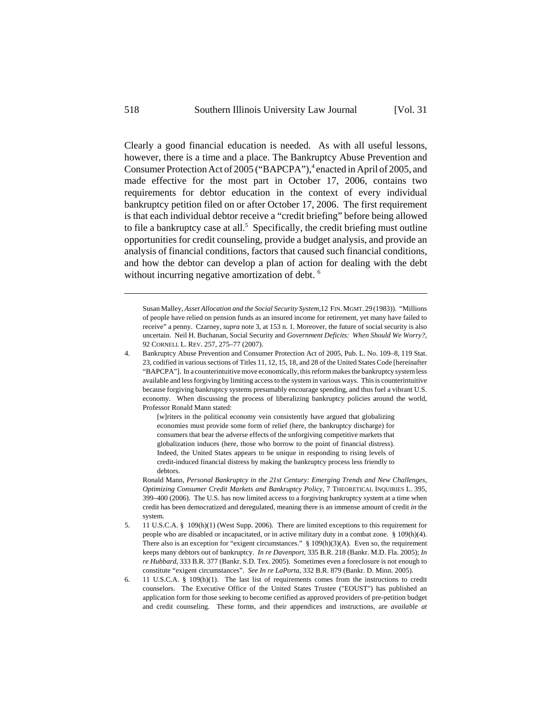Clearly a good financial education is needed. As with all useful lessons, however, there is a time and a place. The Bankruptcy Abuse Prevention and Consumer Protection Act of 2005 ("BAPCPA"),<sup>4</sup> enacted in April of 2005, and made effective for the most part in October 17, 2006, contains two requirements for debtor education in the context of every individual bankruptcy petition filed on or after October 17, 2006. The first requirement is that each individual debtor receive a "credit briefing" before being allowed to file a bankruptcy case at all.<sup>5</sup> Specifically, the credit briefing must outline opportunities for credit counseling, provide a budget analysis, and provide an analysis of financial conditions, factors that caused such financial conditions, and how the debtor can develop a plan of action for dealing with the debt without incurring negative amortization of debt.<sup>6</sup>

Susan Malley, *Asset Allocation and the Social Security System,*12 FIN.MGMT. 29 (1983)). "Millions of people have relied on pension funds as an insured income for retirement, yet many have failed to receive" a penny. Czarney, *supra* note 3, at 153 n. 1. Moreover, the future of social security is also uncertain. Neil H. Buchanan, Social Security and *Government Deficits: When Should We Worry?*, 92 CORNELL L. REV. 257, 275–77 (2007).

4. Bankruptcy Abuse Prevention and Consumer Protection Act of 2005, Pub. L. No. 109–8, 119 Stat. 23, codified in various sections of Titles 11, 12, 15, 18, and 28 of the United States Code [hereinafter "BAPCPA"]. In a counterintuitive move economically, this reform makes the bankruptcy system less available and less forgiving by limiting access to the system in various ways. This is counterintuitive because forgiving bankruptcy systems presumably encourage spending, and thus fuel a vibrant U.S. economy. When discussing the process of liberalizing bankruptcy policies around the world, Professor Ronald Mann stated:

> [w]riters in the political economy vein consistently have argued that globalizing economies must provide some form of relief (here, the bankruptcy discharge) for consumers that bear the adverse effects of the unforgiving competitive markets that globalization induces (here, those who borrow to the point of financial distress). Indeed, the United States appears to be unique in responding to rising levels of credit-induced financial distress by making the bankruptcy process less friendly to debtors.

Ronald Mann, *Personal Bankruptcy in the 21st Century: Emerging Trends and New Challenges, Optimizing Consumer Credit Markets and Bankruptcy Policy,* 7 THEORETICAL INQUIRIES L. 395, 399–400 (2006). The U.S. has now limited access to a forgiving bankruptcy system at a time when credit has been democratized and deregulated, meaning there is an immense amount of credit *in* the system.

- 5. 11 U.S.C.A. § 109(h)(1) (West Supp. 2006). There are limited exceptions to this requirement for people who are disabled or incapacitated, or in active military duty in a combat zone. § 109(h)(4). There also is an exception for "exigent circumstances." § 109(h)(3)(A). Even so, the requirement keeps many debtors out of bankruptcy. *In re Davenport*, 335 B.R. 218 (Bankr. M.D. Fla. 2005); *In re Hubbard*, 333 B.R. 377 (Bankr. S.D. Tex. 2005). Sometimes even a foreclosure is not enough to constitute "exigent circumstances". *See In re LaPorta*, 332 B.R. 879 (Bankr. D. Minn. 2005).
- 6. 11 U.S.C.A. § 109(h)(1). The last list of requirements comes from the instructions to credit counselors. The Executive Office of the United States Trustee ("EOUST") has published an application form for those seeking to become certified as approved providers of pre-petition budget and credit counseling. These forms, and their appendices and instructions, are *available at*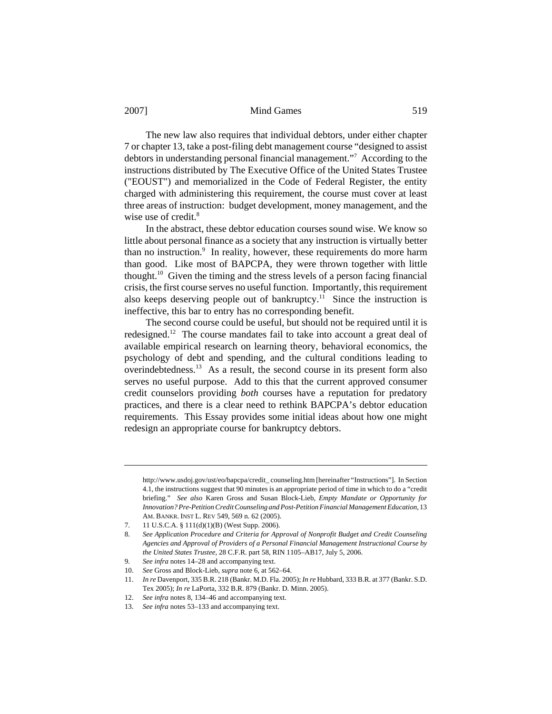The new law also requires that individual debtors, under either chapter 7 or chapter 13, take a post-filing debt management course "designed to assist debtors in understanding personal financial management."7 According to the instructions distributed by The Executive Office of the United States Trustee ("EOUST") and memorialized in the Code of Federal Register, the entity charged with administering this requirement, the course must cover at least three areas of instruction: budget development, money management, and the wise use of credit.<sup>8</sup>

In the abstract, these debtor education courses sound wise. We know so little about personal finance as a society that any instruction is virtually better than no instruction.<sup>9</sup> In reality, however, these requirements do more harm than good. Like most of BAPCPA, they were thrown together with little thought.10 Given the timing and the stress levels of a person facing financial crisis, the first course serves no useful function. Importantly, this requirement also keeps deserving people out of bankruptcy.<sup>11</sup> Since the instruction is ineffective, this bar to entry has no corresponding benefit.

The second course could be useful, but should not be required until it is redesigned.12 The course mandates fail to take into account a great deal of available empirical research on learning theory, behavioral economics, the psychology of debt and spending, and the cultural conditions leading to overindebtedness.13 As a result, the second course in its present form also serves no useful purpose. Add to this that the current approved consumer credit counselors providing *both* courses have a reputation for predatory practices, and there is a clear need to rethink BAPCPA's debtor education requirements. This Essay provides some initial ideas about how one might redesign an appropriate course for bankruptcy debtors.

http://www.usdoj.gov/ust/eo/bapcpa/credit\_ counseling.htm [hereinafter "Instructions"]. In Section 4.1, the instructions suggest that 90 minutes is an appropriate period of time in which to do a "credit briefing." *See also* Karen Gross and Susan Block-Lieb, *Empty Mandate or Opportunity for Innovation? Pre-Petition Credit Counseling and Post-Petition Financial Management Education,* 13 AM. BANKR. INST L. REV 549, 569 n. 62 (2005).

<sup>7. 11</sup> U.S.C.A. § 111(d)(1)(B) (West Supp. 2006).

<sup>8.</sup> *See Application Procedure and Criteria for Approval of Nonprofit Budget and Credit Counseling Agencies and Approval of Providers of a Personal Financial Management Instructional Course by the United States Trustee*, 28 C.F.R. part 58, RIN 1105–AB17, July 5, 2006.

<sup>9.</sup> *See infra* notes 14–28 and accompanying text.

<sup>10.</sup> *See* Gross and Block-Lieb, *supra* note 6, at 562–64.

<sup>11.</sup> *In re* Davenport, 335 B.R. 218 (Bankr. M.D. Fla. 2005); *In re* Hubbard, 333 B.R. at 377 (Bankr. S.D. Tex 2005); *In re* LaPorta, 332 B.R. 879 (Bankr. D. Minn. 2005).

<sup>12.</sup> *See infra* notes 8, 134–46 and accompanying text.

<sup>13.</sup> *See infra* notes 53–133 and accompanying text.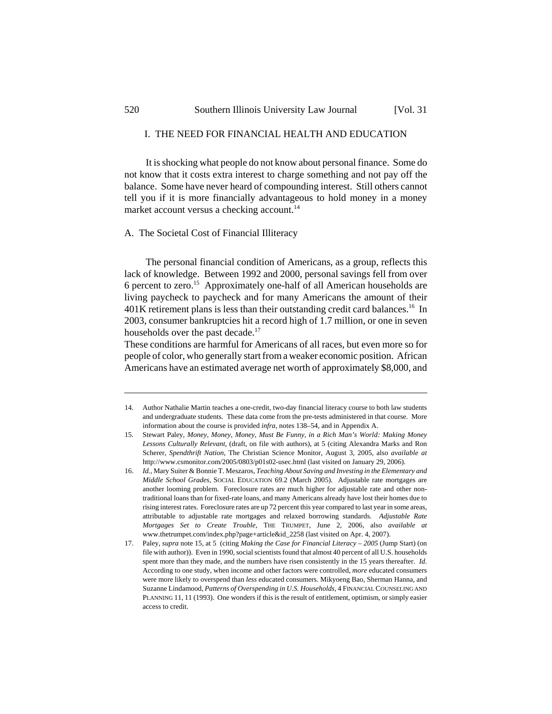# I. THE NEED FOR FINANCIAL HEALTH AND EDUCATION

It is shocking what people do not know about personal finance. Some do not know that it costs extra interest to charge something and not pay off the balance. Some have never heard of compounding interest. Still others cannot tell you if it is more financially advantageous to hold money in a money market account versus a checking account.<sup>14</sup>

#### A. The Societal Cost of Financial Illiteracy

The personal financial condition of Americans, as a group, reflects this lack of knowledge. Between 1992 and 2000, personal savings fell from over 6 percent to zero.<sup>15</sup> Approximately one-half of all American households are living paycheck to paycheck and for many Americans the amount of their  $401K$  retirement plans is less than their outstanding credit card balances.<sup>16</sup> In 2003, consumer bankruptcies hit a record high of 1.7 million, or one in seven households over the past decade.<sup>17</sup>

These conditions are harmful for Americans of all races, but even more so for people of color, who generally start from a weaker economic position. African Americans have an estimated average net worth of approximately \$8,000, and

<sup>14.</sup> Author Nathalie Martin teaches a one-credit, two-day financial literacy course to both law students and undergraduate students. These data come from the pre-tests administered in that course. More information about the course is provided *infra*, notes 138–54, and in Appendix A.

<sup>15.</sup> Stewart Paley, *Money, Money, Money, Must Be Funny, in a Rich Man's World: Making Money Lessons Culturally Relevant*, (draft, on file with authors), at 5 (citing Alexandra Marks and Ron Scherer, *Spendthrift Nation*, The Christian Science Monitor, August 3, 2005, also *available at* http://www.csmonitor.com/2005/0803/p01s02-usec.html (last visited on January 29, 2006).

<sup>16.</sup> *Id.,* Mary Suiter & Bonnie T. Meszaros, *Teaching About Saving and Investing in the Elementary and Middle School Grades*, SOCIAL EDUCATION 69.2 (March 2005). Adjustable rate mortgages are another looming problem. Foreclosure rates are much higher for adjustable rate and other nontraditional loans than for fixed-rate loans, and many Americans already have lost their homes due to rising interest rates. Foreclosure rates are up 72 percent this year compared to last year in some areas, attributable to adjustable rate mortgages and relaxed borrowing standards. *Adjustable Rate Mortgages Set to Create Trouble*, THE TRUMPET, June 2, 2006, also *available at* www.thetrumpet.com/index.php?page+article&id\_2258 (last visited on Apr. 4, 2007).

<sup>17.</sup> Paley, *supra* note 15, at 5 (citing *Making the Case for Financial Literacy – 2005* (Jump Start) (on file with author)). Even in 1990, social scientists found that almost 40 percent of all U.S. households spent more than they made, and the numbers have risen consistently in the 15 years thereafter. *Id.* According to one study, when income and other factors were controlled, *more* educated consumers were more likely to overspend than *less* educated consumers. Mikyoeng Bao, Sherman Hanna, and Suzanne Lindamood, *Patterns of Overspending in U.S. Households,* 4 FINANCIAL COUNSELING AND PLANNING 11, 11 (1993). One wonders if this is the result of entitlement, optimism, or simply easier access to credit.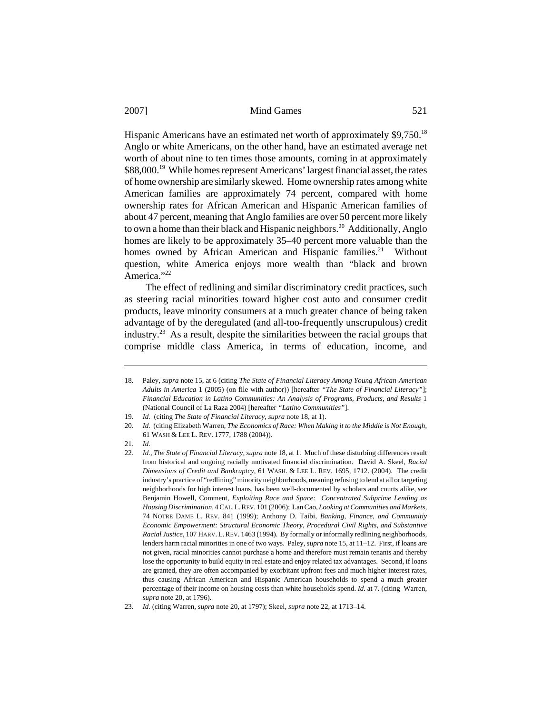Hispanic Americans have an estimated net worth of approximately \$9,750.<sup>18</sup> Anglo or white Americans, on the other hand, have an estimated average net worth of about nine to ten times those amounts, coming in at approximately \$88,000.<sup>19</sup> While homes represent Americans' largest financial asset, the rates of home ownership are similarly skewed. Home ownership rates among white American families are approximately 74 percent, compared with home ownership rates for African American and Hispanic American families of about 47 percent, meaning that Anglo families are over 50 percent more likely to own a home than their black and Hispanic neighbors.<sup>20</sup> Additionally, Anglo homes are likely to be approximately 35–40 percent more valuable than the homes owned by African American and Hispanic families.<sup>21</sup> Without question, white America enjoys more wealth than "black and brown America."<sup>22</sup>

The effect of redlining and similar discriminatory credit practices, such as steering racial minorities toward higher cost auto and consumer credit products, leave minority consumers at a much greater chance of being taken advantage of by the deregulated (and all-too-frequently unscrupulous) credit industry.<sup>23</sup> As a result, despite the similarities between the racial groups that comprise middle class America, in terms of education, income, and

<sup>18.</sup> Paley, *supra* note 15, at 6 (citing *The State of Financial Literacy Among Young African-American Adults in America* 1 (2005) (on file with author)) [hereafter *"The State of Financial Literacy"*]; *Financial Education in Latino Communities: An Analysis of Programs, Products, and Results* 1 (National Council of La Raza 2004) [hereafter *"Latino Communities"*].

<sup>19.</sup> *Id.* (citing *The State of Financial Literacy, supra* note 18, at 1).

<sup>20.</sup> *Id.* (citing Elizabeth Warren, *The Economics of Race: When Making it to the Middle is Not Enough*, 61 WASH & LEE L. REV. 1777, 1788 (2004)).

<sup>21.</sup> *Id.*

<sup>22.</sup> *Id., The State of Financial Literacy, supra* note 18, at 1. Much of these disturbing differences result from historical and ongoing racially motivated financial discrimination. David A. Skeel, *Racial Dimensions of Credit and Bankruptcy*, 61 WASH. & LEE L. REV. 1695, 1712. (2004). The credit industry's practice of "redlining" minority neighborhoods, meaning refusing to lend at all or targeting neighborhoods for high interest loans, has been well-documented by scholars and courts alike, *see* Benjamin Howell, Comment, *Exploiting Race and Space: Concentrated Subprime Lending as Housing Discrimination,* 4 CAL.L.REV. 101 (2006); Lan Cao, *Looking at Communities and Markets*, 74 NOTRE DAME L. REV. 841 (1999); Anthony D. Taibi, *Banking, Finance, and Communitiy Economic Empowerment: Structural Economic Theory, Procedural Civil Rights, and Substantive Racial Justice*, 107 HARV.L.REV. 1463 (1994). By formally or informally redlining neighborhoods, lenders harm racial minorities in one of two ways. Paley, *supra* note 15, at 11–12. First, if loans are not given, racial minorities cannot purchase a home and therefore must remain tenants and thereby lose the opportunity to build equity in real estate and enjoy related tax advantages. Second, if loans are granted, they are often accompanied by exorbitant upfront fees and much higher interest rates, thus causing African American and Hispanic American households to spend a much greater percentage of their income on housing costs than white households spend. *Id.* at 7*.* (citing Warren*, supra* note 20, at 1796)*.* 

<sup>23.</sup> *Id.* (citing Warren*, supra* note 20, at 1797); Skeel, *supra* note 22, at 1713–14.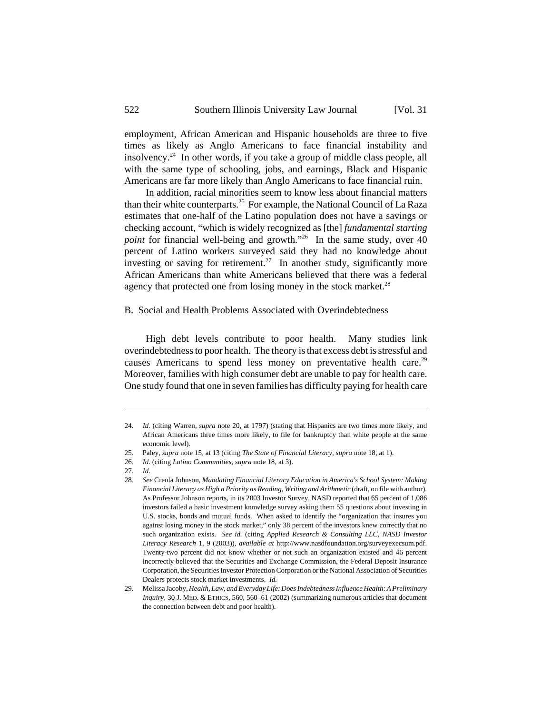employment, African American and Hispanic households are three to five times as likely as Anglo Americans to face financial instability and insolvency.24 In other words, if you take a group of middle class people, all with the same type of schooling, jobs, and earnings, Black and Hispanic Americans are far more likely than Anglo Americans to face financial ruin.

In addition, racial minorities seem to know less about financial matters than their white counterparts.<sup>25</sup> For example, the National Council of La Raza estimates that one-half of the Latino population does not have a savings or checking account, "which is widely recognized as [the] *fundamental starting point* for financial well-being and growth."<sup>26</sup> In the same study, over 40 percent of Latino workers surveyed said they had no knowledge about investing or saving for retirement.<sup>27</sup> In another study, significantly more African Americans than white Americans believed that there was a federal agency that protected one from losing money in the stock market.<sup>28</sup>

#### B. Social and Health Problems Associated with Overindebtedness

High debt levels contribute to poor health. Many studies link overindebtedness to poor health. The theory is that excess debt is stressful and causes Americans to spend less money on preventative health care.<sup>29</sup> Moreover, families with high consumer debt are unable to pay for health care. One study found that one in seven families has difficulty paying for health care

<sup>24.</sup> *Id.* (citing Warren, *supra* note 20, at 1797) (stating that Hispanics are two times more likely, and African Americans three times more likely, to file for bankruptcy than white people at the same economic level).

<sup>25.</sup> Paley, *supra* note 15, at 13 (citing *The State of Financial Literacy, supra* note 18, at 1).

<sup>26.</sup> *Id.* (citing *Latino Communities, supra* note 18, at 3).

<sup>27.</sup> *Id.*

<sup>28.</sup> *See* Creola Johnson, *Mandating Financial Literacy Education in America's School System: Making Financial Literacy as High a Priority as Reading, Writing and Arithmetic* (draft, on file with author). As Professor Johnson reports, in its 2003 Investor Survey, NASD reported that 65 percent of 1,086 investors failed a basic investment knowledge survey asking them 55 questions about investing in U.S. stocks, bonds and mutual funds. When asked to identify the "organization that insures you against losing money in the stock market," only 38 percent of the investors knew correctly that no such organization exists. *See id.* (citing *Applied Research & Consulting LLC, NASD Investor Literacy Research* 1, 9 (2003)), *available at* http://www.nasdfoundation.org/surveyexecsum.pdf. Twenty-two percent did not know whether or not such an organization existed and 46 percent incorrectly believed that the Securities and Exchange Commission, the Federal Deposit Insurance Corporation, the Securities Investor Protection Corporation or the National Association of Securities Dealers protects stock market investments. *Id.*

<sup>29.</sup> Melissa Jacoby, *Health, Law, and Everyday Life: Does Indebtedness Influence Health: A Preliminary Inquiry*, 30 J. MED. & ETHICS, 560, 560–61 (2002) (summarizing numerous articles that document the connection between debt and poor health).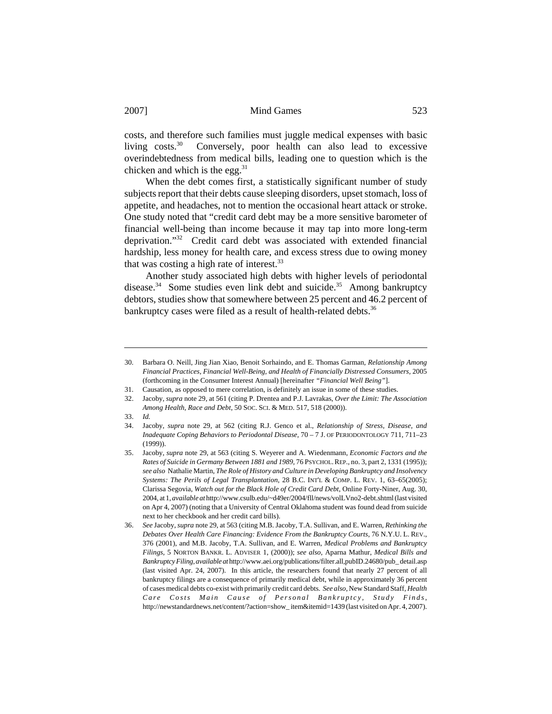costs, and therefore such families must juggle medical expenses with basic living costs.<sup>30</sup> Conversely, poor health can also lead to excessive overindebtedness from medical bills, leading one to question which is the chicken and which is the egg. $31$ 

When the debt comes first, a statistically significant number of study subjects report that their debts cause sleeping disorders, upset stomach, loss of appetite, and headaches, not to mention the occasional heart attack or stroke. One study noted that "credit card debt may be a more sensitive barometer of financial well-being than income because it may tap into more long-term deprivation."32 Credit card debt was associated with extended financial hardship, less money for health care, and excess stress due to owing money that was costing a high rate of interest.<sup>33</sup>

Another study associated high debts with higher levels of periodontal disease.<sup>34</sup> Some studies even link debt and suicide.<sup>35</sup> Among bankruptcy debtors, studies show that somewhere between 25 percent and 46.2 percent of bankruptcy cases were filed as a result of health-related debts.<sup>36</sup>

<sup>30.</sup> Barbara O. Neill, Jing Jian Xiao, Benoit Sorhaindo, and E. Thomas Garman, *Relationship Among Financial Practices, Financial Well-Being, and Health of Financially Distressed Consumers,* 2005 (forthcoming in the Consumer Interest Annual) [hereinafter *"Financial Well Being"*].

<sup>31.</sup> Causation, as opposed to mere correlation, is definitely an issue in some of these studies.<br>32. Jacoby, *supra* note 29, at 561 (citing P. Drentea and P.J. Lavrakas, *Over the Limit: The As* 32. Jacoby, *supra* note 29, at 561 (citing P. Drentea and P.J. Lavrakas, *Over the Limit: The Association Among Health, Race and Debt,* 50 SOC. SCI. & MED. 517, 518 (2000)).

<sup>33.</sup> *Id.*

<sup>34.</sup> Jacoby, *supra* note 29, at 562 (citing R.J. Genco et al., *Relationship of Stress, Disease, and Inadequate Coping Behaviors to Periodontal Disease,* 70 – 7 J. OF PERIODONTOLOGY 711, 711–23 (1999)).

<sup>35.</sup> Jacoby, *supra* note 29, at 563 (citing S. Weyerer and A. Wiedenmann, *Economic Factors and the Rates of Suicide in Germany Between 1881 and 1989,* 76 PSYCHOL.REP., no. 3, part 2, 1331 (1995)); *see also* Nathalie Martin, *The Role of History and Culture in Developing Bankruptcy and Insolvency Systems: The Perils of Legal Transplantation*, 28 B.C. INT'L & COMP. L. REV. 1, 63–65(2005); Clarissa Segovia, *Watch out for the Black Hole of Credit Card Debt*, Online Forty-Niner, Aug. 30, 2004, at 1, *available at* http://www.csulb.edu/~d49er/2004/fll/news/volLVno2-debt.shtml (last visited on Apr 4, 2007) (noting that a University of Central Oklahoma student was found dead from suicide next to her checkbook and her credit card bills).

<sup>36.</sup> *See* Jacoby, *supra* note 29, at 563 (citing M.B. Jacoby, T.A. Sullivan, and E. Warren, *Rethinking the Debates Over Health Care Financing: Evidence From the Bankruptcy Courts,* 76 N.Y.U. L. REV., 376 (2001), and M.B. Jacoby, T.A. Sullivan, and E. Warren, *Medical Problems and Bankruptcy Filings,* 5 NORTON BANKR. L. ADVISER 1, (2000)); *see also,* Aparna Mathur, *Medical Bills and Bankruptcy Filing*, *available at* http://www.aei.org/publications/filter.all,pubID.24680/pub\_ detail.asp (last visited Apr. 24, 2007). In this article, the researchers found that nearly 27 percent of all bankruptcy filings are a consequence of primarily medical debt, while in approximately 36 percent of cases medical debts co-exist with primarily credit card debts. *See also*, New Standard Staff, *Health Care Costs Main Cause of Personal Bankruptcy, Study Finds*, http://newstandardnews.net/content/?action=show\_ item&itemid=1439 (last visited on Apr. 4, 2007).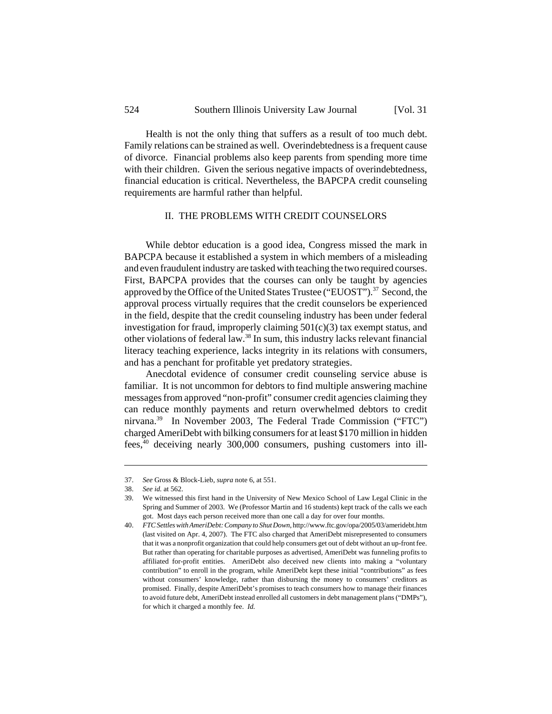Health is not the only thing that suffers as a result of too much debt. Family relations can be strained as well. Overindebtedness is a frequent cause of divorce. Financial problems also keep parents from spending more time with their children. Given the serious negative impacts of overindebtedness, financial education is critical. Nevertheless, the BAPCPA credit counseling requirements are harmful rather than helpful.

# II. THE PROBLEMS WITH CREDIT COUNSELORS

While debtor education is a good idea, Congress missed the mark in BAPCPA because it established a system in which members of a misleading and even fraudulent industry are tasked with teaching the two required courses. First, BAPCPA provides that the courses can only be taught by agencies approved by the Office of the United States Trustee ("EUOST").<sup>37</sup> Second, the approval process virtually requires that the credit counselors be experienced in the field, despite that the credit counseling industry has been under federal investigation for fraud, improperly claiming 501(c)(3) tax exempt status, and other violations of federal law.38 In sum, this industry lacks relevant financial literacy teaching experience, lacks integrity in its relations with consumers, and has a penchant for profitable yet predatory strategies.

Anecdotal evidence of consumer credit counseling service abuse is familiar. It is not uncommon for debtors to find multiple answering machine messages from approved "non-profit" consumer credit agencies claiming they can reduce monthly payments and return overwhelmed debtors to credit nirvana.39 In November 2003, The Federal Trade Commission ("FTC") charged AmeriDebt with bilking consumers for at least \$170 million in hidden fees,40 deceiving nearly 300,000 consumers, pushing customers into ill-

<sup>37.</sup> *See* Gross & Block-Lieb, *supra* note 6, at 551.

<sup>38.</sup> *See id.* at 562.

<sup>39.</sup> We witnessed this first hand in the University of New Mexico School of Law Legal Clinic in the Spring and Summer of 2003. We (Professor Martin and 16 students) kept track of the calls we each got. Most days each person received more than one call a day for over four months.

<sup>40.</sup> *FTC Settles with AmeriDebt: Company to Shut Down*, http://www.ftc.gov/opa/2005/03/ameridebt.htm (last visited on Apr. 4, 2007). The FTC also charged that AmeriDebt misrepresented to consumers that it was a nonprofit organization that could help consumers get out of debt without an up-front fee. But rather than operating for charitable purposes as advertised, AmeriDebt was funneling profits to affiliated for-profit entities. AmeriDebt also deceived new clients into making a "voluntary contribution" to enroll in the program, while AmeriDebt kept these initial "contributions" as fees without consumers' knowledge, rather than disbursing the money to consumers' creditors as promised. Finally, despite AmeriDebt's promises to teach consumers how to manage their finances to avoid future debt, AmeriDebt instead enrolled all customers in debt management plans ("DMPs"), for which it charged a monthly fee. *Id.*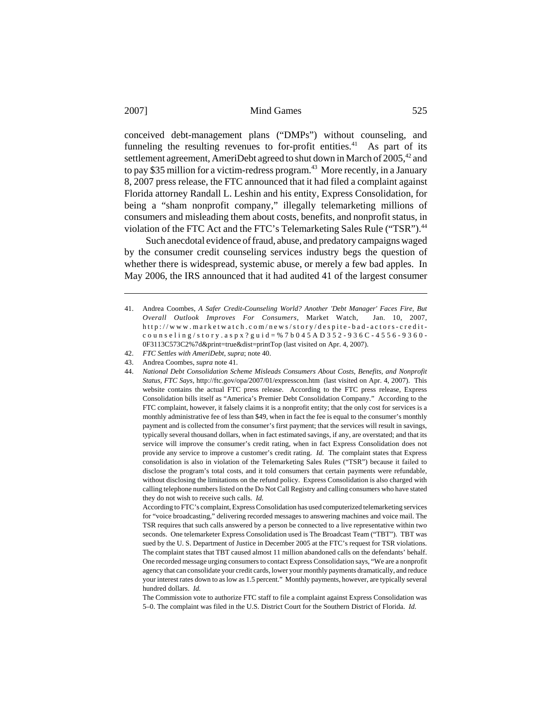conceived debt-management plans ("DMPs") without counseling, and funneling the resulting revenues to for-profit entities.<sup>41</sup> As part of its settlement agreement, AmeriDebt agreed to shut down in March of  $2005<sup>42</sup>$  and to pay \$35 million for a victim-redress program.<sup>43</sup> More recently, in a January 8, 2007 press release, the FTC announced that it had filed a complaint against Florida attorney Randall L. Leshin and his entity, Express Consolidation, for being a "sham nonprofit company," illegally telemarketing millions of consumers and misleading them about costs, benefits, and nonprofit status, in violation of the FTC Act and the FTC's Telemarketing Sales Rule ("TSR").<sup>44</sup>

Such anecdotal evidence of fraud, abuse, and predatory campaigns waged by the consumer credit counseling services industry begs the question of whether there is widespread, systemic abuse, or merely a few bad apples. In May 2006, the IRS announced that it had audited 41 of the largest consumer

<sup>41.</sup> Andrea Coombes, *A Safer Credit-Counseling World? Another 'Debt Manager' Faces Fire, But Overall Outlook Improves For Consumers*, Market Watch, Jan. 10, 2007, http://www.marketwatch.com/news/s tory/despite-bad -actors-creditcounseling/story.aspx?guid=%7b045AD352-936C-4556-9360- 0F3113C573C2%7d&print=true&dist=printTop (last visited on Apr. 4, 2007).

<sup>42.</sup> *FTC Settles with AmeriDebt*, *supra*; note 40.

<sup>43.</sup> Andrea Coombes, *supra* note 41.

<sup>44.</sup> *National Debt Consolidation Scheme Misleads Consumers About Costs, Benefits, and Nonprofit Status, FTC Says*, http://ftc.gov/opa/2007/01/expresscon.htm (last visited on Apr. 4, 2007). This website contains the actual FTC press release. According to the FTC press release, Express Consolidation bills itself as "America's Premier Debt Consolidation Company." According to the FTC complaint, however, it falsely claims it is a nonprofit entity; that the only cost for services is a monthly administrative fee of less than \$49, when in fact the fee is equal to the consumer's monthly payment and is collected from the consumer's first payment; that the services will result in savings, typically several thousand dollars, when in fact estimated savings, if any, are overstated; and that its service will improve the consumer's credit rating, when in fact Express Consolidation does not provide any service to improve a customer's credit rating. *Id.* The complaint states that Express consolidation is also in violation of the Telemarketing Sales Rules ("TSR") because it failed to disclose the program's total costs, and it told consumers that certain payments were refundable, without disclosing the limitations on the refund policy. Express Consolidation is also charged with calling telephone numbers listed on the Do Not Call Registry and calling consumers who have stated they do not wish to receive such calls. *Id.*

According to FTC's complaint, Express Consolidation has used computerized telemarketing services for "voice broadcasting," delivering recorded messages to answering machines and voice mail. The TSR requires that such calls answered by a person be connected to a live representative within two seconds. One telemarketer Express Consolidation used is The Broadcast Team ("TBT"). TBT was sued by the U. S. Department of Justice in December 2005 at the FTC's request for TSR violations. The complaint states that TBT caused almost 11 million abandoned calls on the defendants' behalf. One recorded message urging consumers to contact Express Consolidation says, "We are a nonprofit agency that can consolidate your credit cards, lower your monthly payments dramatically, and reduce your interest rates down to as low as 1.5 percent." Monthly payments, however, are typically several hundred dollars. *Id.*

The Commission vote to authorize FTC staff to file a complaint against Express Consolidation was 5–0. The complaint was filed in the U.S. District Court for the Southern District of Florida. *Id.*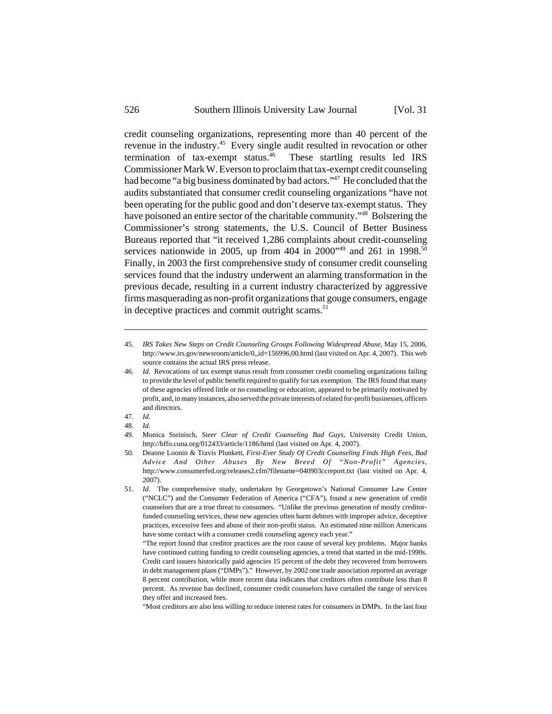credit counseling organizations, representing more than 40 percent of the revenue in the industry.45 Every single audit resulted in revocation or other termination of tax-exempt status.<sup>46</sup> These startling results led IRS Commissioner Mark W. Everson to proclaim that tax-exempt credit counseling had become "a big business dominated by bad actors."<sup>47</sup> He concluded that the audits substantiated that consumer credit counseling organizations "have not been operating for the public good and don't deserve tax-exempt status. They have poisoned an entire sector of the charitable community."48 Bolstering the Commissioner's strong statements, the U.S. Council of Better Business Bureaus reported that "it received 1,286 complaints about credit-counseling services nationwide in 2005, up from 404 in 2000"<sup>49</sup> and 261 in 1998.<sup>50</sup> Finally, in 2003 the first comprehensive study of consumer credit counseling services found that the industry underwent an alarming transformation in the previous decade, resulting in a current industry characterized by aggressive firms masquerading as non-profit organizations that gouge consumers, engage in deceptive practices and commit outright scams. $51$ 

<sup>45.</sup> *IRS Takes New Steps on Credit Counseling Groups Following Widespread Abuse*, May 15, 2006, http://www.irs.gov/newsroom/article/0,,id=156996,00.html (last visited on Apr. 4, 2007). This web source contains the actual IRS press release.

<sup>46.</sup> *Id.* Revocations of tax exempt status result from consumer credit counseling organizations failing to provide the level of public benefit required to qualify for tax exemption. The IRS found that many of these agencies offered little or no counseling or education, appeared to be primarily motivated by profit, and, in many instances, also served the private interests of related for-profit businesses, officers and directors.

<sup>47.</sup> *Id.*

<sup>48.</sup> *Id.*

<sup>49.</sup> Monica Steinisch, *Steer Clear of Credit Counseling Bad Guys*, University Credit Union, http://hffo.cuna.org/012433/article/1186/html (last visited on Apr. 4, 2007).

<sup>50.</sup> Deanne Loonin & Travis Plunkett, *First-Ever Study Of Credit Counseling Finds High Fees, Bad Advice And Other Abuses By New Breed Of "Non-Profit" Agencies*, http://www.consumerfed.org/releases2.cfm?filename=040903ccreport.txt (last visited on Apr. 4, 2007).

<sup>51.</sup> *Id.* The comprehensive study, undertaken by Georgetown's National Consumer Law Center ("NCLC") and the Consumer Federation of America ("CFA"), found a new generation of credit counselors that are a true threat to consumers. "Unlike the previous generation of mostly creditorfunded counseling services, these new agencies often harm debtors with improper advice, deceptive practices, excessive fees and abuse of their non-profit status. An estimated nine million Americans have some contact with a consumer credit counseling agency each year."

<sup>&</sup>quot;The report found that creditor practices are the root cause of several key problems. Major banks have continued cutting funding to credit counseling agencies, a trend that started in the mid-1990s. Credit card issuers historically paid agencies 15 percent of the debt they recovered from borrowers in debt management plans ("DMPs")." However, by 2002 one trade association reported an average 8 percent contribution, while more recent data indicates that creditors often contribute less than 8 percent. As revenue has declined, consumer credit counselors have curtailed the range of services they offer and increased fees.

<sup>&</sup>quot;Most creditors are also less willing to reduce interest rates for consumers in DMPs. In the last four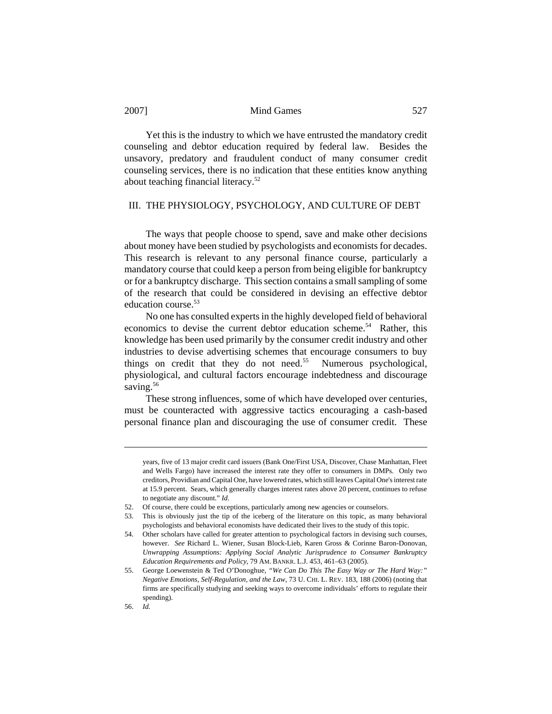Yet this is the industry to which we have entrusted the mandatory credit counseling and debtor education required by federal law. Besides the unsavory, predatory and fraudulent conduct of many consumer credit counseling services, there is no indication that these entities know anything about teaching financial literacy.52

# III. THE PHYSIOLOGY, PSYCHOLOGY, AND CULTURE OF DEBT

The ways that people choose to spend, save and make other decisions about money have been studied by psychologists and economists for decades. This research is relevant to any personal finance course, particularly a mandatory course that could keep a person from being eligible for bankruptcy or for a bankruptcy discharge. This section contains a small sampling of some of the research that could be considered in devising an effective debtor education course.<sup>53</sup>

No one has consulted experts in the highly developed field of behavioral economics to devise the current debtor education scheme.<sup>54</sup> Rather, this knowledge has been used primarily by the consumer credit industry and other industries to devise advertising schemes that encourage consumers to buy things on credit that they do not need.<sup>55</sup> Numerous psychological, physiological, and cultural factors encourage indebtedness and discourage saving.<sup>56</sup>

These strong influences, some of which have developed over centuries, must be counteracted with aggressive tactics encouraging a cash-based personal finance plan and discouraging the use of consumer credit. These

56. *Id.*

years, five of 13 major credit card issuers (Bank One/First USA, Discover, Chase Manhattan, Fleet and Wells Fargo) have increased the interest rate they offer to consumers in DMPs. Only two creditors, Providian and Capital One, have lowered rates, which still leaves Capital One's interest rate at 15.9 percent. Sears, which generally charges interest rates above 20 percent, continues to refuse to negotiate any discount." *Id.*

<sup>52.</sup> Of course, there could be exceptions, particularly among new agencies or counselors.

<sup>53.</sup> This is obviously just the tip of the iceberg of the literature on this topic, as many behavioral psychologists and behavioral economists have dedicated their lives to the study of this topic.

<sup>54.</sup> Other scholars have called for greater attention to psychological factors in devising such courses, however. *See* Richard L. Wiener, Susan Block-Lieb, Karen Gross & Corinne Baron-Donovan, *Unwrapping Assumptions: Applying Social Analytic Jurisprudence to Consumer Bankruptcy Education Requirements and Policy,* 79 AM. BANKR. L.J. 453, 461–63 (2005).

<sup>55.</sup> George Loewenstein & Ted O'Donoghue, *"We Can Do This The Easy Way or The Hard Way:" Negative Emotions, Self-Regulation, and the Law,* 73 U. CHI. L. REV. 183, 188 (2006) (noting that firms are specifically studying and seeking ways to overcome individuals' efforts to regulate their spending).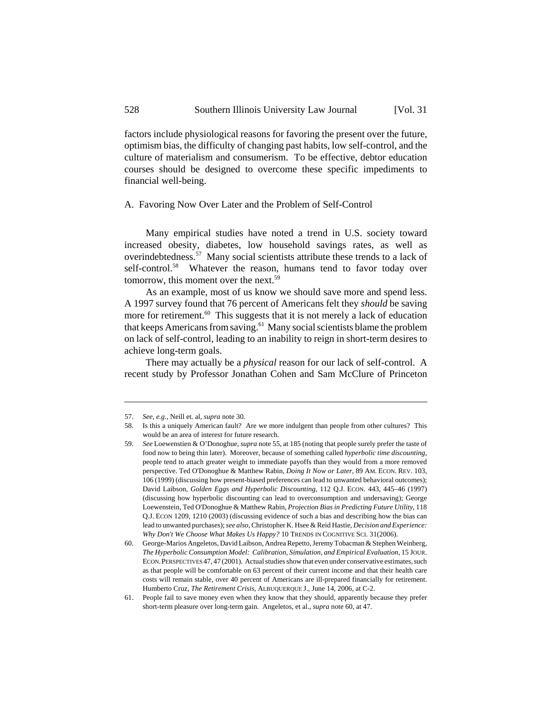factors include physiological reasons for favoring the present over the future, optimism bias, the difficulty of changing past habits, low self-control, and the culture of materialism and consumerism. To be effective, debtor education courses should be designed to overcome these specific impediments to financial well-being.

### A. Favoring Now Over Later and the Problem of Self-Control

Many empirical studies have noted a trend in U.S. society toward increased obesity, diabetes, low household savings rates, as well as overindebtedness.<sup>57</sup> Many social scientists attribute these trends to a lack of self-control.<sup>58</sup> Whatever the reason, humans tend to favor today over tomorrow, this moment over the next.<sup>59</sup>

As an example, most of us know we should save more and spend less. A 1997 survey found that 76 percent of Americans felt they *should* be saving more for retirement.<sup>60</sup> This suggests that it is not merely a lack of education that keeps Americans from saving.<sup>61</sup> Many social scientists blame the problem on lack of self-control, leading to an inability to reign in short-term desires to achieve long-term goals.

There may actually be a *physical* reason for our lack of self-control. A recent study by Professor Jonathan Cohen and Sam McClure of Princeton

<sup>57.</sup> *See, e.g*., Neill et. al, *supra* note 30*.*

<sup>58.</sup> Is this a uniquely American fault? Are we more indulgent than people from other cultures? This would be an area of interest for future research.

<sup>59.</sup> *See* Loewenstien & O'Donoghue, *supra* note 55, at 185 (noting that people surely prefer the taste of food now to being thin later).Moreover, because of something called *hyperbolic time discounting*, people tend to attach greater weight to immediate payoffs than they would from a more removed perspective. Ted O'Donoghue & Matthew Rabin, *Doing It Now or Later*, 89 AM. ECON. REV. 103, 106 (1999) (discussing how present-biased preferences can lead to unwanted behavioral outcomes); David Laibson, *Golden Eggs and Hyperbolic Discounting,* 112 Q.J. ECON. 443, 445–46 (1997) (discussing how hyperbolic discounting can lead to overconsumption and undersaving); George Loewenstein, Ted O'Donoghue & Matthew Rabin, *Projection Bias in Predicting Future Utility*, 118 Q.J. ECON 1209, 1210 (2003) (discussing evidence of such a bias and describing how the bias can lead to unwanted purchases); *see also*, Christopher K. Hsee & Reid Hastie, *Decision and Experience: Why Don't We Choose What Makes Us Happy?* 10 TRENDS IN COGNITIVE SCI. 31(2006).

<sup>60.</sup> George-Marios Angeletos, David Laibson, Andrea Repetto, Jeremy Tobacman & Stephen Weinberg, *The Hyperbolic Consumption Model: Calibration, Simulation, and Empirical Evaluation,* 15 JOUR. ECON.PERSPECTIVES 47, 47 (2001). Actual studies show that even under conservative estimates, such as that people will be comfortable on 63 percent of their current income and that their health care costs will remain stable, over 40 percent of Americans are ill-prepared financially for retirement. Humberto Cruz, *The Retirement Crisis,* ALBUQUERQUE J., June 14, 2006, at C-2.

<sup>61.</sup> People fail to save money even when they know that they should, apparently because they prefer short-term pleasure over long-term gain. Angeletos, et al., *supra* note 60, at 47.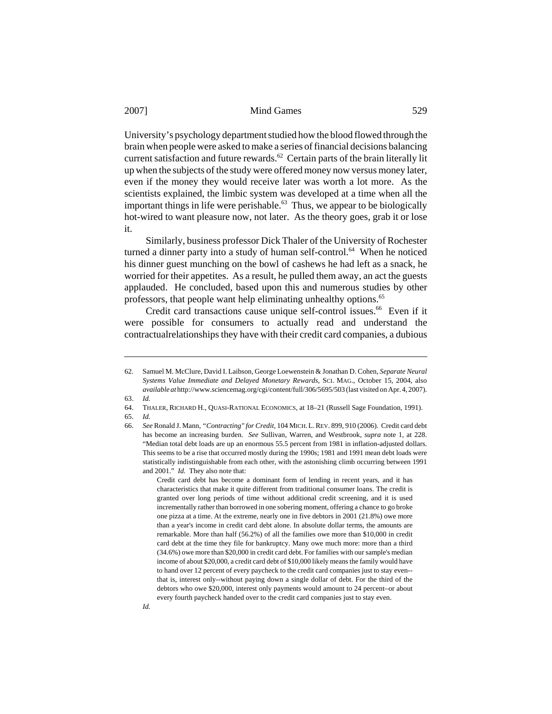University's psychology department studied how the blood flowed through the brain when people were asked to make a series of financial decisions balancing current satisfaction and future rewards.<sup>62</sup> Certain parts of the brain literally lit up when the subjects of the study were offered money now versus money later, even if the money they would receive later was worth a lot more. As the scientists explained, the limbic system was developed at a time when all the important things in life were perishable.<sup>63</sup> Thus, we appear to be biologically hot-wired to want pleasure now, not later. As the theory goes, grab it or lose it.

Similarly, business professor Dick Thaler of the University of Rochester turned a dinner party into a study of human self-control.<sup>64</sup> When he noticed his dinner guest munching on the bowl of cashews he had left as a snack, he worried for their appetites. As a result, he pulled them away, an act the guests applauded. He concluded, based upon this and numerous studies by other professors, that people want help eliminating unhealthy options.<sup>65</sup>

Credit card transactions cause unique self-control issues.<sup>66</sup> Even if it were possible for consumers to actually read and understand the contractualrelationships they have with their credit card companies, a dubious

*Id.*

<sup>62.</sup> Samuel M. McClure, David I. Laibson, George Loewenstein & Jonathan D. Cohen, *Separate Neural Systems Value Immediate and Delayed Monetary Rewards*, SCI. MAG., October 15, 2004, also *available at* http://www.sciencemag.org/cgi/content/full/306/5695/503 (last visited on Apr. 4, 2007).

<sup>63.</sup> *Id.*

<sup>64.</sup> THALER, RICHARD H., QUASI-RATIONAL ECONOMICS, at 18–21 (Russell Sage Foundation, 1991).

<sup>65.</sup> *Id.*

<sup>66.</sup> *See* Ronald J. Mann, *"Contracting" for Credit*, 104 MICH.L.REV. 899, 910 (2006). Credit card debt has become an increasing burden. *See* Sullivan, Warren, and Westbrook, *supra* note 1, at 228. "Median total debt loads are up an enormous 55.5 percent from 1981 in inflation-adjusted dollars. This seems to be a rise that occurred mostly during the 1990s; 1981 and 1991 mean debt loads were statistically indistinguishable from each other, with the astonishing climb occurring between 1991 and 2001." *Id.* They also note that:

Credit card debt has become a dominant form of lending in recent years, and it has characteristics that make it quite different from traditional consumer loans. The credit is granted over long periods of time without additional credit screening, and it is used incrementally rather than borrowed in one sobering moment, offering a chance to go broke one pizza at a time. At the extreme, nearly one in five debtors in 2001 (21.8%) owe more than a year's income in credit card debt alone. In absolute dollar terms, the amounts are remarkable. More than half (56.2%) of all the families owe more than \$10,000 in credit card debt at the time they file for bankruptcy. Many owe much more: more than a third (34.6%) owe more than \$20,000 in credit card debt. For families with our sample's median income of about \$20,000, a credit card debt of \$10,000 likely means the family would have to hand over 12 percent of every paycheck to the credit card companies just to stay even- that is, interest only--without paying down a single dollar of debt. For the third of the debtors who owe  $$20,000$ , interest only payments would amount to 24 percent-or about every fourth paycheck handed over to the credit card companies just to stay even.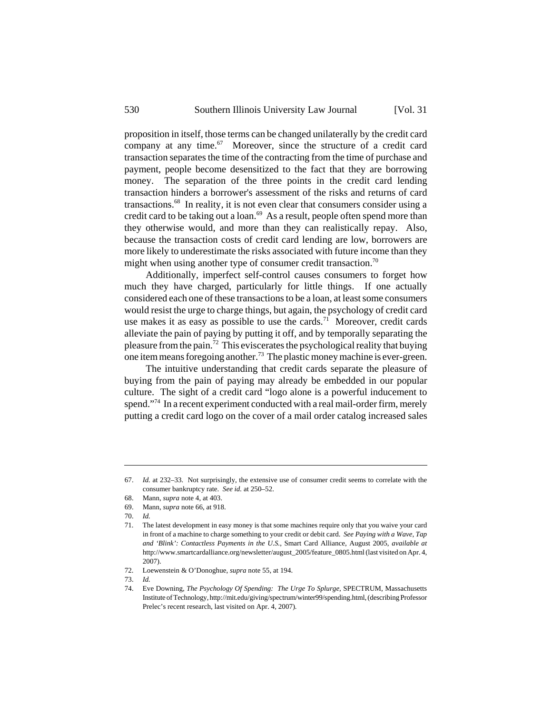proposition in itself, those terms can be changed unilaterally by the credit card company at any time. $67$  Moreover, since the structure of a credit card transaction separates the time of the contracting from the time of purchase and payment, people become desensitized to the fact that they are borrowing money. The separation of the three points in the credit card lending transaction hinders a borrower's assessment of the risks and returns of card transactions.68 In reality, it is not even clear that consumers consider using a credit card to be taking out a loan.<sup>69</sup> As a result, people often spend more than they otherwise would, and more than they can realistically repay. Also, because the transaction costs of credit card lending are low, borrowers are more likely to underestimate the risks associated with future income than they might when using another type of consumer credit transaction.<sup>70</sup>

Additionally, imperfect self-control causes consumers to forget how much they have charged, particularly for little things. If one actually considered each one of these transactions to be a loan, at least some consumers would resist the urge to charge things, but again, the psychology of credit card use makes it as easy as possible to use the cards.<sup>71</sup> Moreover, credit cards alleviate the pain of paying by putting it off, and by temporally separating the pleasure from the pain.72 This eviscerates the psychological reality that buying one item means foregoing another.73 The plastic money machine is ever-green.

The intuitive understanding that credit cards separate the pleasure of buying from the pain of paying may already be embedded in our popular culture. The sight of a credit card "logo alone is a powerful inducement to spend."<sup>74</sup> In a recent experiment conducted with a real mail-order firm, merely putting a credit card logo on the cover of a mail order catalog increased sales

<sup>67.</sup> *Id.* at 232–33. Not surprisingly, the extensive use of consumer credit seems to correlate with the consumer bankruptcy rate. *See id.* at 250–52.

<sup>68.</sup> Mann, *supra* note 4, at 403.

<sup>69.</sup> Mann, *supra* note 66, at 918.

<sup>70.</sup> *Id.*

<sup>71.</sup> The latest development in easy money is that some machines require only that you waive your card in front of a machine to charge something to your credit or debit card. *See Paying with a Wave, Tap and 'Blink': Contactless Payments in the U.S.*, Smart Card Alliance, August 2005, *available at* http://www.smartcardalliance.org/newsletter/august\_2005/feature\_0805.html (last visited on Apr. 4, 2007).

<sup>72.</sup> Loewenstein & O'Donoghue, *supra* note 55, at 194.

<sup>73.</sup> *Id.*

<sup>74.</sup> Eve Downing, *The Psychology Of Spending: The Urge To Splurge*, SPECTRUM, Massachusetts Institute of Technology, http://mit.edu/giving/spectrum/winter99/spending.html, (describing Professor Prelec's recent research, last visited on Apr. 4, 2007)*.*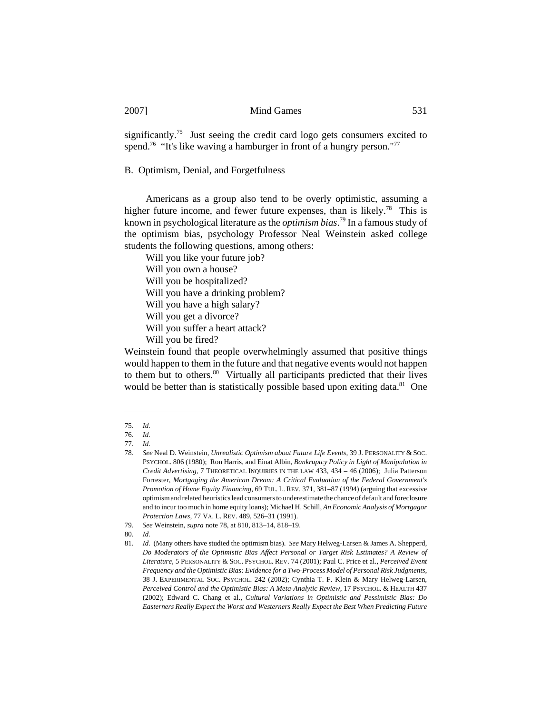significantly.<sup>75</sup> Just seeing the credit card logo gets consumers excited to spend.<sup>76</sup> "It's like waving a hamburger in front of a hungry person."<sup>77</sup>

# B. Optimism, Denial, and Forgetfulness

Americans as a group also tend to be overly optimistic, assuming a higher future income, and fewer future expenses, than is likely.<sup>78</sup> This is known in psychological literature as the *optimism bias*. 79 In a famous study of the optimism bias, psychology Professor Neal Weinstein asked college students the following questions, among others:

Will you like your future job?

Will you own a house?

Will you be hospitalized?

Will you have a drinking problem?

Will you have a high salary?

Will you get a divorce?

Will you suffer a heart attack?

Will you be fired?

Weinstein found that people overwhelmingly assumed that positive things would happen to them in the future and that negative events would not happen to them but to others.<sup>80</sup> Virtually all participants predicted that their lives would be better than is statistically possible based upon exiting data.<sup>81</sup> One

80. *Id.* 

<sup>75.</sup> *Id.*

<sup>76.</sup> *Id.*

<sup>77.</sup> *Id.*

<sup>78.</sup> *See* Neal D. Weinstein, *Unrealistic Optimism about Future Life Events,* 39 J. PERSONALITY & SOC. PSYCHOL. 806 (1980); Ron Harris, and Einat Albin, *Bankruptcy Policy in Light of Manipulation in Credit Advertising,* 7 THEORETICAL INQUIRIES IN THE LAW 433, 434 – 46 (2006); Julia Patterson Forrester, *Mortgaging the American Dream: A Critical Evaluation of the Federal Government's Promotion of Home Equity Financing*, 69 TUL. L. REV. 371, 381–87 (1994) (arguing that excessive optimism and related heuristics lead consumers to underestimate the chance of default and foreclosure and to incur too much in home equity loans); Michael H. Schill, *An Economic Analysis of Mortgagor Protection Laws*, 77 VA. L. REV. 489, 526–31 (1991).

<sup>79.</sup> *See* Weinstein, *supra* note 78, at 810, 813–14, 818–19.

<sup>81.</sup> *Id.* (Many others have studied the optimism bias). *See* Mary Helweg-Larsen & James A. Shepperd, *Do Moderators of the Optimistic Bias Affect Personal or Target Risk Estimates? A Review of Literature*, 5 PERSONALITY & SOC. PSYCHOL. REV. 74 (2001); Paul C. Price et al., *Perceived Event Frequency and the Optimistic Bias: Evidence for a Two-Process Model of Personal Risk Judgments*, 38 J. EXPERIMENTAL SOC. PSYCHOL. 242 (2002); Cynthia T. F. Klein & Mary Helweg-Larsen, *Perceived Control and the Optimistic Bias: A Meta-Analytic Review,* 17 PSYCHOL. & HEALTH 437 (2002); Edward C. Chang et al., *Cultural Variations in Optimistic and Pessimistic Bias: Do Easterners Really Expect the Worst and Westerners Really Expect the Best When Predicting Future*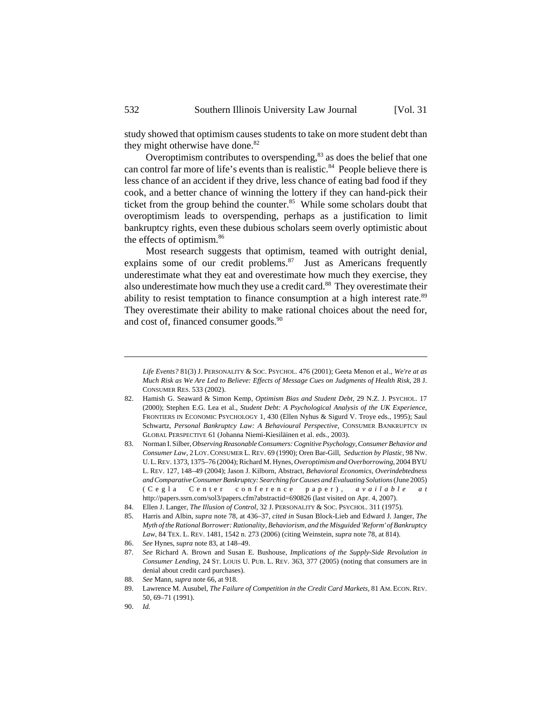study showed that optimism causes students to take on more student debt than they might otherwise have done.<sup>82</sup>

Overoptimism contributes to overspending,<sup>83</sup> as does the belief that one can control far more of life's events than is realistic.<sup>84</sup> People believe there is less chance of an accident if they drive, less chance of eating bad food if they cook, and a better chance of winning the lottery if they can hand-pick their ticket from the group behind the counter. $85$  While some scholars doubt that overoptimism leads to overspending, perhaps as a justification to limit bankruptcy rights, even these dubious scholars seem overly optimistic about the effects of optimism.<sup>86</sup>

Most research suggests that optimism, teamed with outright denial, explains some of our credit problems. $87$  Just as Americans frequently underestimate what they eat and overestimate how much they exercise, they also underestimate how much they use a credit card.<sup>88</sup> They overestimate their ability to resist temptation to finance consumption at a high interest rate.<sup>89</sup> They overestimate their ability to make rational choices about the need for, and cost of, financed consumer goods.<sup>90</sup>

- 88. *See* Mann, *supra* note 66, at 918.
- 89. Lawrence M. Ausubel, *The Failure of Competition in the Credit Card Markets,* 81 AM. ECON. REV. 50, 69–71 (1991).

*Life Events?* 81(3) J. PERSONALITY & SOC. PSYCHOL. 476 (2001); Geeta Menon et al., *We're at as Much Risk as We Are Led to Believe: Effects of Message Cues on Judgments of Health Risk,* 28 J. CONSUMER RES. 533 (2002).

<sup>82.</sup> Hamish G. Seaward & Simon Kemp, *Optimism Bias and Student Debt,* 29 N.Z. J. PSYCHOL. 17 (2000); Stephen E.G. Lea et al., *Student Debt: A Psychological Analysis of the UK Experience*, FRONTIERS IN ECONOMIC PSYCHOLOGY 1, 430 (Ellen Nyhus & Sigurd V. Troye eds., 1995); Saul Schwartz, *Personal Bankruptcy Law: A Behavioural Perspective,* CONSUMER BANKRUPTCY IN GLOBAL PERSPECTIVE 61 (Johanna Niemi-Kiesiläinen et al. eds., 2003).

<sup>83.</sup> Norman I. Silber, *Observing Reasonable Consumers: Cognitive Psychology, Consumer Behavior and Consumer Law,* 2 LOY.CONSUMER L. REV. 69 (1990); Oren Bar-Gill, *Seduction by Plastic,* 98 NW. U.L.REV. 1373, 1375–76 (2004); Richard M. Hynes, *Overoptimism and Overborrowing*, 2004 BYU L. REV. 127, 148–49 (2004); Jason J. Kilborn, Abstract, *Behavioral Economics, Overindebtedness and Comparative Consumer Bankruptcy: Searching for Causes and Evaluating Solutions* (June 2005) (Cegla Center conference paper), *available at* http://papers.ssrn.com/sol3/papers.cfm?abstractid=690826 (last visited on Apr. 4, 2007).

<sup>84.</sup> Ellen J. Langer, *The Illusion of Control,* 32 J. PERSONALITY & SOC. PSYCHOL. 311 (1975).

<sup>85.</sup> Harris and Albin, *supra* note 78, at 436–37, *cited in* Susan Block-Lieb and Edward J. Janger, *The Myth of the Rational Borrower: Rationality, Behaviorism, and the Misguided 'Reform' of Bankruptcy Law*, 84 TEX. L. REV. 1481, 1542 n. 273 (2006) (citing Weinstein, *supra* note 78, at 814).

<sup>86.</sup> *See* Hynes, *supra* note 83, at 148–49.

<sup>87.</sup> *See* Richard A. Brown and Susan E. Bushouse, *Implications of the Supply-Side Revolution in Consumer Lending,* 24 ST. LOUIS U. PUB. L. REV. 363, 377 (2005) (noting that consumers are in denial about credit card purchases).

<sup>90.</sup> *Id.*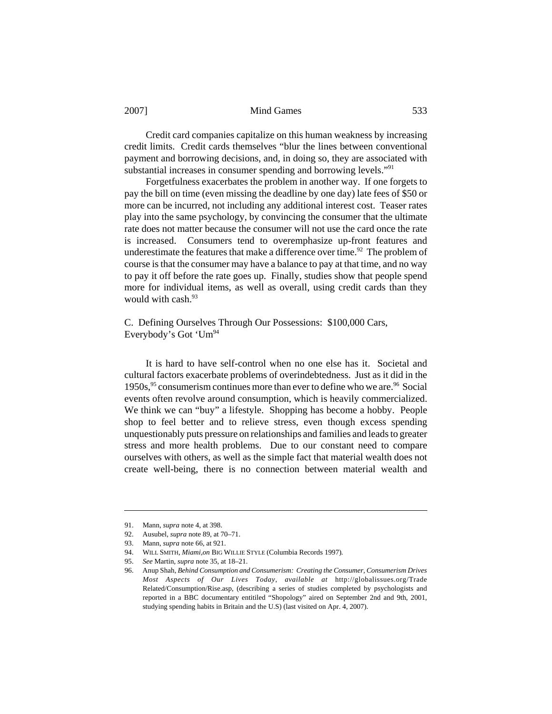Credit card companies capitalize on this human weakness by increasing credit limits. Credit cards themselves "blur the lines between conventional payment and borrowing decisions, and, in doing so, they are associated with substantial increases in consumer spending and borrowing levels."<sup>91</sup>

Forgetfulness exacerbates the problem in another way. If one forgets to pay the bill on time (even missing the deadline by one day) late fees of \$50 or more can be incurred, not including any additional interest cost. Teaser rates play into the same psychology, by convincing the consumer that the ultimate rate does not matter because the consumer will not use the card once the rate is increased. Consumers tend to overemphasize up-front features and underestimate the features that make a difference over time.<sup>92</sup> The problem of course is that the consumer may have a balance to pay at that time, and no way to pay it off before the rate goes up. Finally, studies show that people spend more for individual items, as well as overall, using credit cards than they would with cash.<sup>93</sup>

# C. Defining Ourselves Through Our Possessions: \$100,000 Cars, Everybody's Got ' $Um^{94}$

It is hard to have self-control when no one else has it. Societal and cultural factors exacerbate problems of overindebtedness. Just as it did in the 1950s,  $95$  consumerism continues more than ever to define who we are.  $96$  Social events often revolve around consumption, which is heavily commercialized. We think we can "buy" a lifestyle. Shopping has become a hobby. People shop to feel better and to relieve stress, even though excess spending unquestionably puts pressure on relationships and families and leads to greater stress and more health problems. Due to our constant need to compare ourselves with others, as well as the simple fact that material wealth does not create well-being, there is no connection between material wealth and

<sup>91.</sup> Mann, *supra* note 4, at 398.

<sup>92.</sup> Ausubel, *supra* note 89, at 70–71.

<sup>93.</sup> Mann, *supra* note 66, at 921.

<sup>94.</sup> WILL SMITH, *Miami,on* BIG WILLIE STYLE (Columbia Records 1997)*.*

<sup>95.</sup> *See* Martin*, supra* note 35, at 18–21.

<sup>96.</sup> Anup Shah, *Behind Consumption and Consumerism: Creating the Consumer, Consumerism Drives Most Aspects of Our Lives Today, available at* http://globalissues.org/Trade Related/Consumption/Rise.asp, (describing a series of studies completed by psychologists and reported in a BBC documentary entitiled "Shopology" aired on September 2nd and 9th, 2001, studying spending habits in Britain and the U.S) (last visited on Apr. 4, 2007).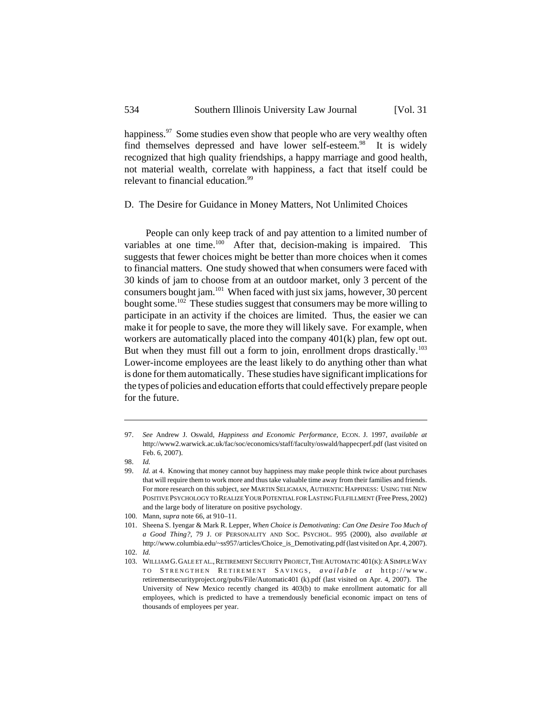happiness.<sup>97</sup> Some studies even show that people who are very wealthy often find themselves depressed and have lower self-esteem.<sup>98</sup> It is widely recognized that high quality friendships, a happy marriage and good health, not material wealth, correlate with happiness, a fact that itself could be relevant to financial education.<sup>99</sup>

# D. The Desire for Guidance in Money Matters, Not Unlimited Choices

People can only keep track of and pay attention to a limited number of variables at one time.<sup>100</sup> After that, decision-making is impaired. This suggests that fewer choices might be better than more choices when it comes to financial matters. One study showed that when consumers were faced with 30 kinds of jam to choose from at an outdoor market, only 3 percent of the consumers bought jam.101 When faced with just six jams, however, 30 percent bought some.<sup>102</sup> These studies suggest that consumers may be more willing to participate in an activity if the choices are limited. Thus, the easier we can make it for people to save, the more they will likely save. For example, when workers are automatically placed into the company 401(k) plan, few opt out. But when they must fill out a form to join, enrollment drops drastically.<sup>103</sup> Lower-income employees are the least likely to do anything other than what is done for them automatically. These studies have significant implications for the types of policies and education efforts that could effectively prepare people for the future.

<sup>97.</sup> *See* Andrew J. Oswald, *Happiness and Economic Performance,* ECON. J. 1997, *available at* http://www2.warwick.ac.uk/fac/soc/economics/staff/faculty/oswald/happecperf.pdf (last visited on Feb. 6, 2007).

<sup>98.</sup> *Id.*

<sup>99.</sup> *Id.* at 4. Knowing that money cannot buy happiness may make people think twice about purchases that will require them to work more and thus take valuable time away from their families and friends. For more research on this subject, *see* MARTIN SELIGMAN, AUTHENTIC HAPPINESS: USING THE NEW POSITIVE PSYCHOLOGY TO REALIZE YOUR POTENTIAL FOR LASTING FULFILLMENT (Free Press, 2002) and the large body of literature on positive psychology.

<sup>100.</sup> Mann, *supra* note 66, at 910–11.

<sup>101.</sup> Sheena S. Iyengar & Mark R. Lepper, *When Choice is Demotivating: Can One Desire Too Much of a Good Thing?*, 79 J. OF PERSONALITY AND SOC. PSYCHOL. 995 (2000), also *available at* http://www.columbia.edu/~ss957/articles/Choice\_is\_Demotivating.pdf (last visited on Apr. 4, 2007).

<sup>102.</sup> *Id.*

<sup>103.</sup> WILLIAM G. GALE ET AL., RETIREMENT SECURITY PROJECT, THE AUTOMATIC 401(K): A SIMPLE WAY TO S TRENGTHEN R ETIREMENT S AVINGS *, available at* http://www. retirementsecurityproject.org/pubs/File/Automatic401 (k).pdf (last visited on Apr. 4, 2007). The University of New Mexico recently changed its 403(b) to make enrollment automatic for all employees, which is predicted to have a tremendously beneficial economic impact on tens of thousands of employees per year.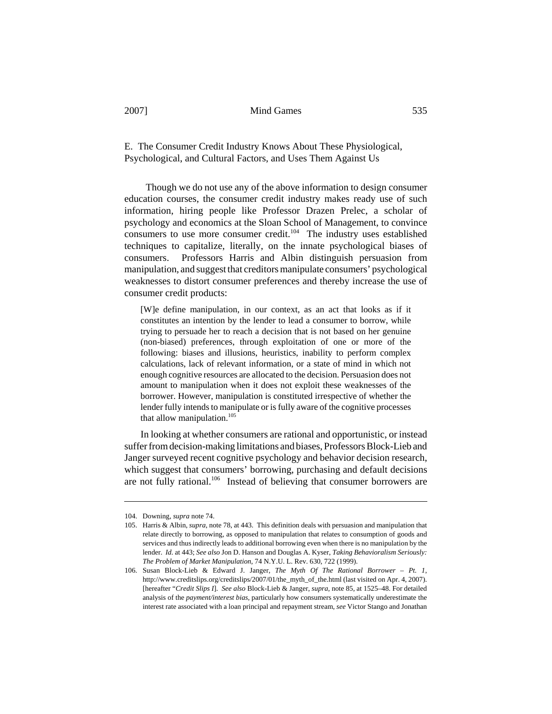E. The Consumer Credit Industry Knows About These Physiological, Psychological, and Cultural Factors, and Uses Them Against Us

Though we do not use any of the above information to design consumer education courses, the consumer credit industry makes ready use of such information, hiring people like Professor Drazen Prelec, a scholar of psychology and economics at the Sloan School of Management, to convince consumers to use more consumer credit.<sup>104</sup> The industry uses established techniques to capitalize, literally, on the innate psychological biases of consumers. Professors Harris and Albin distinguish persuasion from manipulation, and suggest that creditors manipulate consumers' psychological weaknesses to distort consumer preferences and thereby increase the use of consumer credit products:

[W]e define manipulation, in our context, as an act that looks as if it constitutes an intention by the lender to lead a consumer to borrow, while trying to persuade her to reach a decision that is not based on her genuine (non-biased) preferences, through exploitation of one or more of the following: biases and illusions, heuristics, inability to perform complex calculations, lack of relevant information, or a state of mind in which not enough cognitive resources are allocated to the decision. Persuasion does not amount to manipulation when it does not exploit these weaknesses of the borrower. However, manipulation is constituted irrespective of whether the lender fully intends to manipulate or is fully aware of the cognitive processes that allow manipulation. $105$ 

In looking at whether consumers are rational and opportunistic, or instead suffer from decision-making limitations and biases, Professors Block-Lieb and Janger surveyed recent cognitive psychology and behavior decision research, which suggest that consumers' borrowing, purchasing and default decisions are not fully rational.<sup>106</sup> Instead of believing that consumer borrowers are

<sup>104.</sup> Downing, *supra* note 74.

<sup>105.</sup> Harris & Albin, *supra*, note 78, at 443. This definition deals with persuasion and manipulation that relate directly to borrowing, as opposed to manipulation that relates to consumption of goods and services and thus indirectly leads to additional borrowing even when there is no manipulation by the lender. *Id.* at 443; *See also* Jon D. Hanson and Douglas A. Kyser, *Taking Behavioralism Seriously: The Problem of Market Manipulation*, 74 N.Y.U. L. Rev. 630, 722 (1999).

<sup>106.</sup> Susan Block-Lieb & Edward J. Janger, *The Myth Of The Rational Borrower – Pt. 1*, http://www.creditslips.org/creditslips/2007/01/the\_myth\_of\_the.html (last visited on Apr. 4, 2007). [hereafter "*Credit Slips I*]. *See also* Block-Lieb & Janger, *supra*, note 85, at 1525–48. For detailed analysis of the *payment/interest bias*, particularly how consumers systematically underestimate the interest rate associated with a loan principal and repayment stream, *see* Victor Stango and Jonathan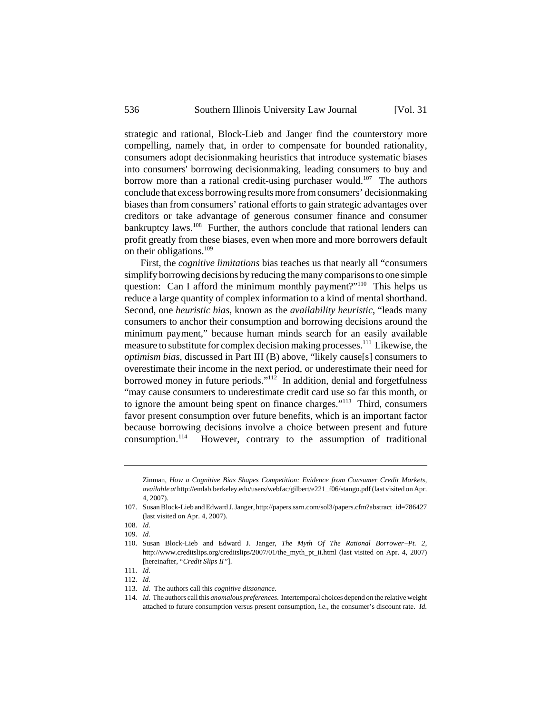strategic and rational, Block-Lieb and Janger find the counterstory more compelling, namely that, in order to compensate for bounded rationality, consumers adopt decisionmaking heuristics that introduce systematic biases into consumers' borrowing decisionmaking, leading consumers to buy and borrow more than a rational credit-using purchaser would.<sup>107</sup> The authors conclude that excess borrowing results more from consumers' decisionmaking biases than from consumers' rational efforts to gain strategic advantages over creditors or take advantage of generous consumer finance and consumer bankruptcy laws.<sup>108</sup> Further, the authors conclude that rational lenders can profit greatly from these biases, even when more and more borrowers default on their obligations.109

First, the *cognitive limitations* bias teaches us that nearly all "consumers simplify borrowing decisions by reducing the many comparisons to one simple question: Can I afford the minimum monthly payment?"<sup>110</sup> This helps us reduce a large quantity of complex information to a kind of mental shorthand. Second, one *heuristic bias*, known as the *availability heuristic*, "leads many consumers to anchor their consumption and borrowing decisions around the minimum payment," because human minds search for an easily available measure to substitute for complex decision making processes.111 Likewise, the *optimism bias,* discussed in Part III (B) above, "likely cause[s] consumers to overestimate their income in the next period, or underestimate their need for borrowed money in future periods." $112$  In addition, denial and forgetfulness "may cause consumers to underestimate credit card use so far this month, or to ignore the amount being spent on finance charges."113 Third, consumers favor present consumption over future benefits, which is an important factor because borrowing decisions involve a choice between present and future consumption.<sup>114</sup> However, contrary to the assumption of traditional

Zinman, *How a Cognitive Bias Shapes Competition: Evidence from Consumer Credit Markets*, *available at* http://emlab.berkeley.edu/users/webfac/gilbert/e221\_f06/stango.pdf (last visited on Apr. 4, 2007).

<sup>107.</sup> Susan Block-Lieb and Edward J. Janger, http://papers.ssrn.com/sol3/papers.cfm?abstract\_id=786427 (last visited on Apr. 4, 2007).

<sup>108.</sup> *Id.*

<sup>109.</sup> *Id.*

<sup>110.</sup> Susan Block-Lieb and Edward J. Janger, *The Myth Of The Rational Borrower-Pt.* 2, http://www.creditslips.org/creditslips/2007/01/the\_myth\_pt\_ii.html (last visited on Apr. 4, 2007) [hereinafter, "*Credit Slips II"*].

<sup>111.</sup> *Id.* 112. *Id.*

<sup>113.</sup> *Id.* The authors call thi*s cognitive dissonance*.

<sup>114.</sup> *Id.* The authors call this *anomalous preferences*. Intertemporal choices depend on the relative weight attached to future consumption versus present consumption, *i.e.*, the consumer's discount rate. *Id.*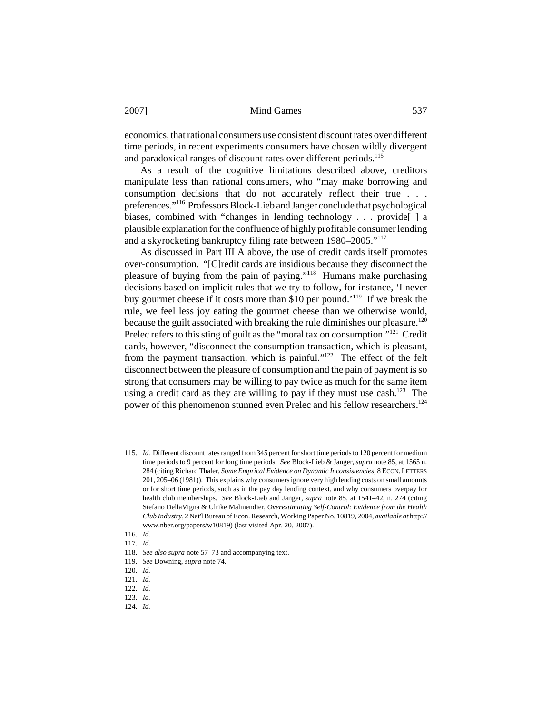economics, that rational consumers use consistent discount rates over different time periods, in recent experiments consumers have chosen wildly divergent and paradoxical ranges of discount rates over different periods.<sup>115</sup>

As a result of the cognitive limitations described above, creditors manipulate less than rational consumers, who "may make borrowing and consumption decisions that do not accurately reflect their true . . . preferences."116 Professors Block-Lieb and Janger conclude that psychological biases, combined with "changes in lending technology . . . provide | a plausible explanation for the confluence of highly profitable consumer lending and a skyrocketing bankruptcy filing rate between 1980–2005."117

As discussed in Part III A above, the use of credit cards itself promotes over-consumption. "[C]redit cards are insidious because they disconnect the pleasure of buying from the pain of paying."118 Humans make purchasing decisions based on implicit rules that we try to follow, for instance, 'I never buy gourmet cheese if it costs more than \$10 per pound.'119 If we break the rule, we feel less joy eating the gourmet cheese than we otherwise would, because the guilt associated with breaking the rule diminishes our pleasure.<sup>120</sup> Prelec refers to this sting of guilt as the "moral tax on consumption."<sup>121</sup> Credit cards, however, "disconnect the consumption transaction, which is pleasant, from the payment transaction, which is painful."122 The effect of the felt disconnect between the pleasure of consumption and the pain of payment is so strong that consumers may be willing to pay twice as much for the same item using a credit card as they are willing to pay if they must use cash.<sup>123</sup> The power of this phenomenon stunned even Prelec and his fellow researchers.<sup>124</sup>

<sup>115.</sup> *Id.* Different discount rates ranged from 345 percent for short time periods to 120 percent for medium time periods to 9 percent for long time periods. *See* Block-Lieb & Janger, *supra* note 85, at 1565 n. 284 (citing Richard Thaler, *Some Emprical Evidence on Dynamic Inconsistencies*, 8 ECON.LETTERS 201, 205–06 (1981)). This explains why consumers ignore very high lending costs on small amounts or for short time periods, such as in the pay day lending context, and why consumers overpay for health club memberships. *See* Block-Lieb and Janger, *supra* note 85, at 1541–42, n. 274 (citing Stefano DellaVigna & Ulrike Malmendier, *Overestimating Self-Control: Evidence from the Health Club Industry*, 2 Nat'l Bureau of Econ. Research, Working Paper No. 10819, 2004, *available at* http:// www.nber.org/papers/w10819) (last visited Apr. 20, 2007).

<sup>116.</sup> *Id.*

<sup>117.</sup> *Id.*

<sup>118.</sup> *See also supra* note 57–73 and accompanying text.

<sup>119.</sup> *See* Downing, *supra* note 74.

<sup>120.</sup> *Id.*

<sup>121.</sup> *Id.*

<sup>122.</sup> *Id.* 123. *Id.*

<sup>124.</sup> *Id.*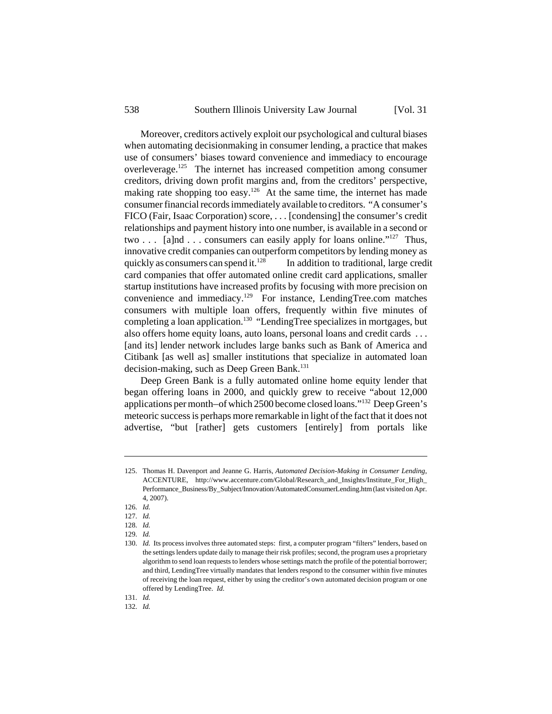Moreover, creditors actively exploit our psychological and cultural biases when automating decisionmaking in consumer lending, a practice that makes use of consumers' biases toward convenience and immediacy to encourage overleverage.125 The internet has increased competition among consumer creditors, driving down profit margins and, from the creditors' perspective, making rate shopping too easy.<sup>126</sup> At the same time, the internet has made consumer financial records immediately available to creditors. "A consumer's FICO (Fair, Isaac Corporation) score, . . . [condensing] the consumer's credit relationships and payment history into one number, is available in a second or two  $\ldots$  [a]nd  $\ldots$  consumers can easily apply for loans online."<sup>127</sup> Thus, innovative credit companies can outperform competitors by lending money as quickly as consumers can spend it.<sup>128</sup> In addition to traditional, large credit card companies that offer automated online credit card applications, smaller startup institutions have increased profits by focusing with more precision on convenience and immediacy.129 For instance, LendingTree.com matches consumers with multiple loan offers, frequently within five minutes of completing a loan application.<sup>130</sup> "LendingTree specializes in mortgages, but also offers home equity loans, auto loans, personal loans and credit cards . . . [and its] lender network includes large banks such as Bank of America and Citibank [as well as] smaller institutions that specialize in automated loan decision-making, such as Deep Green Bank.<sup>131</sup>

Deep Green Bank is a fully automated online home equity lender that began offering loans in 2000, and quickly grew to receive "about 12,000 applications per month-of which 2500 become closed loans."<sup>132</sup> Deep Green's meteoric success is perhaps more remarkable in light of the fact that it does not advertise, "but [rather] gets customers [entirely] from portals like

131. *Id.*

132. *Id.*

<sup>125.</sup> Thomas H. Davenport and Jeanne G. Harris, *Automated Decision-Making in Consumer Lending*, ACCENTURE, http://www.accenture.com/Global/Research\_and\_Insights/Institute\_For\_High\_ Performance\_Business/By\_Subject/Innovation/AutomatedConsumerLending.htm (last visited on Apr. 4, 2007).

<sup>126.</sup> *Id.*

<sup>127.</sup> *Id.*

<sup>128.</sup> *Id.*

<sup>129.</sup> *Id.*

<sup>130.</sup> *Id.* Its process involves three automated steps: first, a computer program "filters" lenders, based on the settings lenders update daily to manage their risk profiles; second, the program uses a proprietary algorithm to send loan requests to lenders whose settings match the profile of the potential borrower; and third, LendingTree virtually mandates that lenders respond to the consumer within five minutes of receiving the loan request, either by using the creditor's own automated decision program or one offered by LendingTree. *Id.*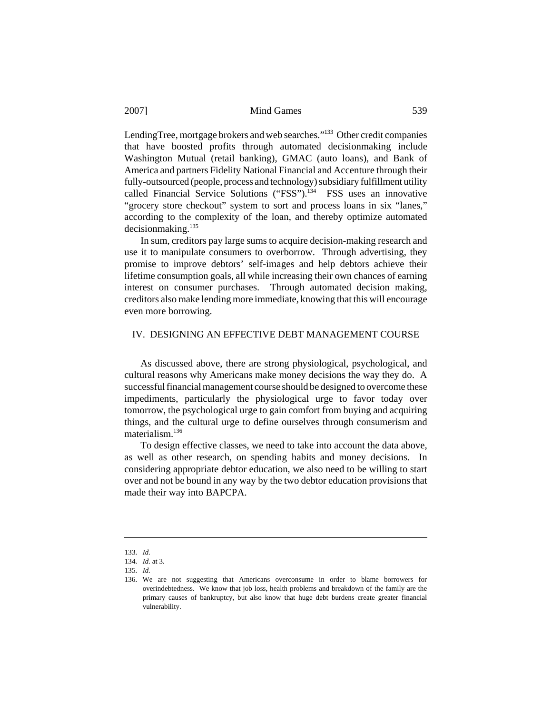LendingTree, mortgage brokers and web searches."133 Other credit companies that have boosted profits through automated decisionmaking include Washington Mutual (retail banking), GMAC (auto loans), and Bank of America and partners Fidelity National Financial and Accenture through their fully-outsourced (people, process and technology) subsidiary fulfillment utility called Financial Service Solutions ("FSS").<sup>134</sup> FSS uses an innovative "grocery store checkout" system to sort and process loans in six "lanes," according to the complexity of the loan, and thereby optimize automated decisionmaking.135

In sum, creditors pay large sums to acquire decision-making research and use it to manipulate consumers to overborrow. Through advertising, they promise to improve debtors' self-images and help debtors achieve their lifetime consumption goals, all while increasing their own chances of earning interest on consumer purchases. Through automated decision making, creditors also make lending more immediate, knowing that this will encourage even more borrowing.

#### IV. DESIGNING AN EFFECTIVE DEBT MANAGEMENT COURSE

As discussed above, there are strong physiological, psychological, and cultural reasons why Americans make money decisions the way they do. A successful financial management course should be designed to overcome these impediments, particularly the physiological urge to favor today over tomorrow, the psychological urge to gain comfort from buying and acquiring things, and the cultural urge to define ourselves through consumerism and materialism<sup>136</sup>

To design effective classes, we need to take into account the data above, as well as other research, on spending habits and money decisions. In considering appropriate debtor education, we also need to be willing to start over and not be bound in any way by the two debtor education provisions that made their way into BAPCPA.

<sup>133.</sup> *Id.*

<sup>134.</sup> *Id.* at 3.

<sup>135.</sup> *Id.*

<sup>136.</sup> We are not suggesting that Americans overconsume in order to blame borrowers for overindebtedness. We know that job loss, health problems and breakdown of the family are the primary causes of bankruptcy, but also know that huge debt burdens create greater financial vulnerability.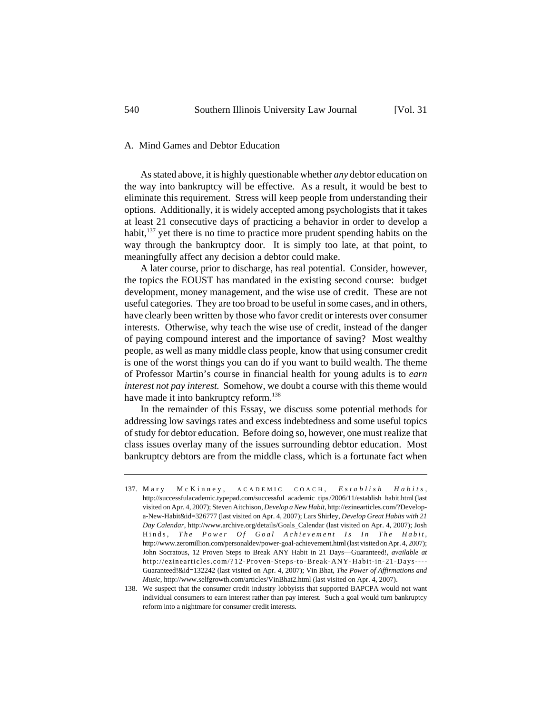#### A. Mind Games and Debtor Education

As stated above, it is highly questionable whether *any* debtor education on the way into bankruptcy will be effective. As a result, it would be best to eliminate this requirement. Stress will keep people from understanding their options. Additionally, it is widely accepted among psychologists that it takes at least 21 consecutive days of practicing a behavior in order to develop a habit,137 yet there is no time to practice more prudent spending habits on the way through the bankruptcy door. It is simply too late, at that point, to meaningfully affect any decision a debtor could make.

A later course, prior to discharge, has real potential. Consider, however, the topics the EOUST has mandated in the existing second course: budget development, money management, and the wise use of credit. These are not useful categories. They are too broad to be useful in some cases, and in others, have clearly been written by those who favor credit or interests over consumer interests. Otherwise, why teach the wise use of credit, instead of the danger of paying compound interest and the importance of saving? Most wealthy people, as well as many middle class people, know that using consumer credit is one of the worst things you can do if you want to build wealth. The theme of Professor Martin's course in financial health for young adults is to *earn interest not pay interest.* Somehow, we doubt a course with this theme would have made it into bankruptcy reform.<sup>138</sup>

In the remainder of this Essay, we discuss some potential methods for addressing low savings rates and excess indebtedness and some useful topics of study for debtor education. Before doing so, however, one must realize that class issues overlay many of the issues surrounding debtor education. Most bankruptcy debtors are from the middle class, which is a fortunate fact when

<sup>137.</sup> Mary McKinney, ACADEMIC COACH, *Establish Habits*, http://successfulacademic.typepad.com/successful\_academic\_tips /2006/11/establish\_habit.html (last visited on Apr. 4, 2007); Steven Aitchison, *Develop a New Habit*, http://ezinearticles.com/?Developa-New-Habit&id=326777 (last visited on Apr. 4, 2007); Lars Shirley, *Develop Great Habits with 21 Day Calendar*, http://www.archive.org/details/Goals\_Calendar (last visited on Apr. 4, 2007); Josh Hinds, *The Power Of Goal Achievement Is In The Habit*, http://www.zeromillion.com/personaldev/power-goal-achievement.html (last visited on Apr. 4, 2007); John Socratous, 12 Proven Steps to Break ANY Habit in 21 Days—Guaranteed!, *available at* http://ezinearticles.com/?12-Proven-Steps-to-Break-ANY-Habit-in-21-Days---- Guaranteed!&id=132242 (last visited on Apr. 4, 2007); Vin Bhat, *The Power of Affirmations and Music*, http://www.selfgrowth.com/articles/VinBhat2.html (last visited on Apr. 4, 2007).

<sup>138.</sup> We suspect that the consumer credit industry lobbyists that supported BAPCPA would not want individual consumers to earn interest rather than pay interest. Such a goal would turn bankruptcy reform into a nightmare for consumer credit interests.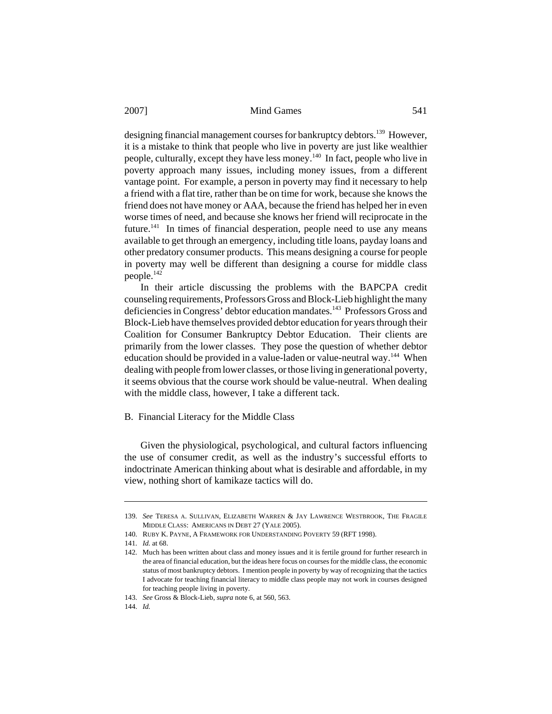designing financial management courses for bankruptcy debtors.<sup>139</sup> However, it is a mistake to think that people who live in poverty are just like wealthier people, culturally, except they have less money.140 In fact, people who live in poverty approach many issues, including money issues, from a different vantage point. For example, a person in poverty may find it necessary to help a friend with a flat tire, rather than be on time for work, because she knows the friend does not have money or AAA, because the friend has helped her in even worse times of need, and because she knows her friend will reciprocate in the future.<sup>141</sup> In times of financial desperation, people need to use any means available to get through an emergency, including title loans, payday loans and other predatory consumer products. This means designing a course for people in poverty may well be different than designing a course for middle class people.142

In their article discussing the problems with the BAPCPA credit counseling requirements, Professors Gross and Block-Lieb highlight the many deficiencies in Congress' debtor education mandates.<sup>143</sup> Professors Gross and Block-Lieb have themselves provided debtor education for years through their Coalition for Consumer Bankruptcy Debtor Education. Their clients are primarily from the lower classes. They pose the question of whether debtor education should be provided in a value-laden or value-neutral way.<sup>144</sup> When dealing with people from lower classes, or those living in generational poverty, it seems obvious that the course work should be value-neutral. When dealing with the middle class, however, I take a different tack.

### B. Financial Literacy for the Middle Class

Given the physiological, psychological, and cultural factors influencing the use of consumer credit, as well as the industry's successful efforts to indoctrinate American thinking about what is desirable and affordable, in my view, nothing short of kamikaze tactics will do.

<sup>139.</sup> *See* TERESA A. SULLIVAN, ELIZABETH WARREN & JAY LAWRENCE WESTBROOK, THE FRAGILE MIDDLE CLASS: AMERICANS IN DEBT 27 (YALE 2005).

<sup>140.</sup> RUBY K. PAYNE, A FRAMEWORK FOR UNDERSTANDING POVERTY 59 (RFT 1998).

<sup>141.</sup> *Id.* at 68.

<sup>142.</sup> Much has been written about class and money issues and it is fertile ground for further research in the area of financial education, but the ideas here focus on courses for the middle class, the economic status of most bankruptcy debtors. I mention people in poverty by way of recognizing that the tactics I advocate for teaching financial literacy to middle class people may not work in courses designed for teaching people living in poverty.

<sup>143.</sup> *See* Gross & Block-Lieb, *supra* note 6, at 560, 563.

<sup>144.</sup> *Id.*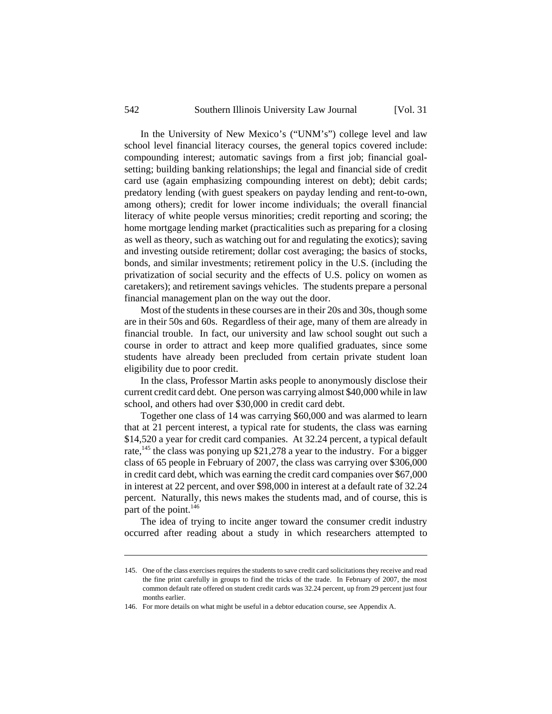In the University of New Mexico's ("UNM's") college level and law school level financial literacy courses, the general topics covered include: compounding interest; automatic savings from a first job; financial goalsetting; building banking relationships; the legal and financial side of credit card use (again emphasizing compounding interest on debt); debit cards; predatory lending (with guest speakers on payday lending and rent-to-own, among others); credit for lower income individuals; the overall financial literacy of white people versus minorities; credit reporting and scoring; the home mortgage lending market (practicalities such as preparing for a closing as well as theory, such as watching out for and regulating the exotics); saving and investing outside retirement; dollar cost averaging; the basics of stocks, bonds, and similar investments; retirement policy in the U.S. (including the privatization of social security and the effects of U.S. policy on women as caretakers); and retirement savings vehicles. The students prepare a personal financial management plan on the way out the door.

Most of the students in these courses are in their 20s and 30s, though some are in their 50s and 60s. Regardless of their age, many of them are already in financial trouble. In fact, our university and law school sought out such a course in order to attract and keep more qualified graduates, since some students have already been precluded from certain private student loan eligibility due to poor credit.

In the class, Professor Martin asks people to anonymously disclose their current credit card debt. One person was carrying almost \$40,000 while in law school, and others had over \$30,000 in credit card debt.

Together one class of 14 was carrying \$60,000 and was alarmed to learn that at 21 percent interest, a typical rate for students, the class was earning \$14,520 a year for credit card companies. At 32.24 percent, a typical default rate,<sup>145</sup> the class was ponying up \$21,278 a year to the industry. For a bigger class of 65 people in February of 2007, the class was carrying over \$306,000 in credit card debt, which was earning the credit card companies over \$67,000 in interest at 22 percent, and over \$98,000 in interest at a default rate of 32.24 percent. Naturally, this news makes the students mad, and of course, this is part of the point.<sup>146</sup>

The idea of trying to incite anger toward the consumer credit industry occurred after reading about a study in which researchers attempted to

<sup>145.</sup> One of the class exercises requires the students to save credit card solicitations they receive and read the fine print carefully in groups to find the tricks of the trade. In February of 2007, the most common default rate offered on student credit cards was 32.24 percent, up from 29 percent just four months earlier.

<sup>146.</sup> For more details on what might be useful in a debtor education course, see Appendix A.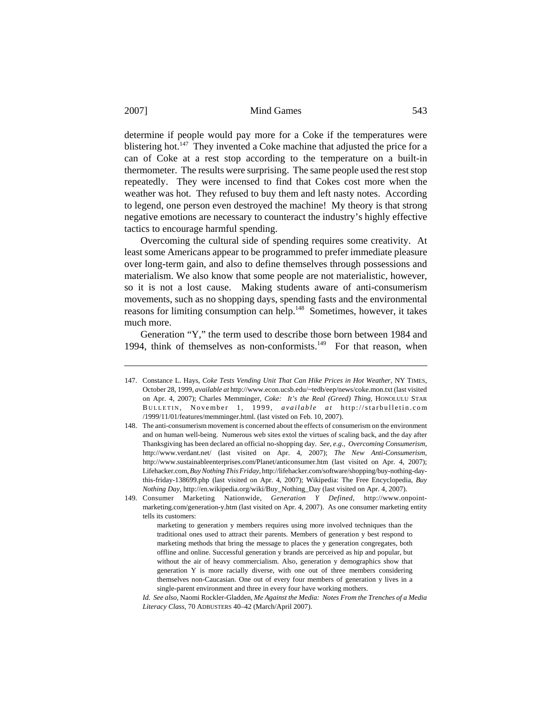determine if people would pay more for a Coke if the temperatures were blistering hot.<sup>147</sup> They invented a Coke machine that adjusted the price for a can of Coke at a rest stop according to the temperature on a built-in thermometer. The results were surprising. The same people used the rest stop repeatedly. They were incensed to find that Cokes cost more when the weather was hot. They refused to buy them and left nasty notes. According to legend, one person even destroyed the machine! My theory is that strong negative emotions are necessary to counteract the industry's highly effective tactics to encourage harmful spending.

Overcoming the cultural side of spending requires some creativity. At least some Americans appear to be programmed to prefer immediate pleasure over long-term gain, and also to define themselves through possessions and materialism. We also know that some people are not materialistic, however, so it is not a lost cause. Making students aware of anti-consumerism movements, such as no shopping days, spending fasts and the environmental reasons for limiting consumption can help.<sup>148</sup> Sometimes, however, it takes much more.

Generation "Y," the term used to describe those born between 1984 and 1994, think of themselves as non-conformists. $149$  For that reason, when

<sup>147.</sup> Constance L. Hays, *Coke Tests Vending Unit That Can Hike Prices in Hot Weather*, NY TIMES, October 28, 1999, *available at* http://www.econ.ucsb.edu/~tedb/eep/news/coke.mon.txt (last visited on Apr. 4, 2007); Charles Memminger, *Coke: It's the Real (Greed) Thing*, HONOLULU STAR B ULLETIN , November 1, 1999, *available at* http://starbulletin.com /1999/11/01/features/memminger.html. (last visted on Feb. 10, 2007). 148. The anti-consumerism movement is concerned about the effects of consumerism on the environment

and on human well-being. Numerous web sites extol the virtues of scaling back, and the day after Thanksgiving has been declared an official no-shopping day. *See, e.g.*, *Overcoming Consumerism,* http://www.verdant.net/ (last visited on Apr. 4, 2007); *The New Anti-Consumerism,* http://www.sustainableenterprises.com/Planet/anticonsumer.htm (last visited on Apr. 4, 2007); Lifehacker.com, *Buy Nothing This Friday*, http://lifehacker.com/software/shopping/buy-nothing-daythis-friday-138699.php (last visited on Apr. 4, 2007); Wikipedia: The Free Encyclopedia, *Buy Nothing Day*, http://en.wikipedia.org/wiki/Buy\_Nothing\_Day (last visited on Apr. 4, 2007).

<sup>149.</sup> Consumer Marketing Nationwide, *Generation Y Defined*, http://www.onpointmarketing.com/generation-y.htm (last visited on Apr. 4, 2007). As one consumer marketing entity tells its customers:

marketing to generation y members requires using more involved techniques than the traditional ones used to attract their parents. Members of generation y best respond to marketing methods that bring the message to places the y generation congregates, both offline and online. Successful generation y brands are perceived as hip and popular, but without the air of heavy commercialism. Also, generation y demographics show that generation Y is more racially diverse, with one out of three members considering themselves non-Caucasian. One out of every four members of generation y lives in a single-parent environment and three in every four have working mothers.

*Id. See also,* Naomi Rockler-Gladden, *Me Against the Media: Notes From the Trenches of a Media Literacy Class,* 70 ADBUSTERS 40–42 (March/April 2007).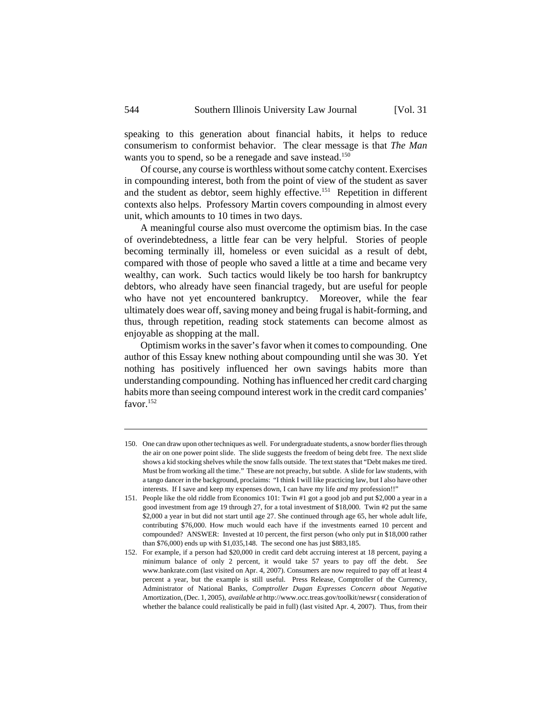speaking to this generation about financial habits, it helps to reduce consumerism to conformist behavior. The clear message is that *The Man* wants you to spend, so be a renegade and save instead.<sup>150</sup>

Of course, any course is worthless without some catchy content. Exercises in compounding interest, both from the point of view of the student as saver and the student as debtor, seem highly effective.<sup>151</sup> Repetition in different contexts also helps. Professory Martin covers compounding in almost every unit, which amounts to 10 times in two days.

A meaningful course also must overcome the optimism bias. In the case of overindebtedness, a little fear can be very helpful. Stories of people becoming terminally ill, homeless or even suicidal as a result of debt, compared with those of people who saved a little at a time and became very wealthy, can work. Such tactics would likely be too harsh for bankruptcy debtors, who already have seen financial tragedy, but are useful for people who have not yet encountered bankruptcy. Moreover, while the fear ultimately does wear off, saving money and being frugal is habit-forming, and thus, through repetition, reading stock statements can become almost as enjoyable as shopping at the mall.

Optimism works in the saver's favor when it comes to compounding. One author of this Essay knew nothing about compounding until she was 30. Yet nothing has positively influenced her own savings habits more than understanding compounding. Nothing has influenced her credit card charging habits more than seeing compound interest work in the credit card companies' favor.152

<sup>150.</sup> One can draw upon other techniques as well. For undergraduate students, a snow border flies through the air on one power point slide. The slide suggests the freedom of being debt free. The next slide shows a kid stocking shelves while the snow falls outside. The text states that "Debt makes me tired. Must be from working all the time." These are not preachy, but subtle. A slide for law students, with a tango dancer in the background, proclaims: "I think I will like practicing law, but I also have other interests. If I save and keep my expenses down, I can have my life *and* my profession!!"

<sup>151.</sup> People like the old riddle from Economics 101: Twin #1 got a good job and put \$2,000 a year in a good investment from age 19 through 27, for a total investment of \$18,000. Twin #2 put the same \$2,000 a year in but did not start until age 27. She continued through age 65, her whole adult life, contributing \$76,000. How much would each have if the investments earned 10 percent and compounded? ANSWER: Invested at 10 percent, the first person (who only put in \$18,000 rather than \$76,000) ends up with \$1,035,148. The second one has just \$883,185.

<sup>152.</sup> For example, if a person had \$20,000 in credit card debt accruing interest at 18 percent, paying a minimum balance of only 2 percent, it would take 57 years to pay off the debt. *See* www.bankrate.com (last visited on Apr. 4, 2007). Consumers are now required to pay off at least 4 percent a year, but the example is still useful. Press Release, Comptroller of the Currency, Administrator of National Banks, *Comptroller Dugan Expresses Concern about Negative* Amortization, (Dec. 1, 2005), *available at* http://www.occ.treas.gov/toolkit/newsr ( consideration of whether the balance could realistically be paid in full) (last visited Apr. 4, 2007). Thus, from their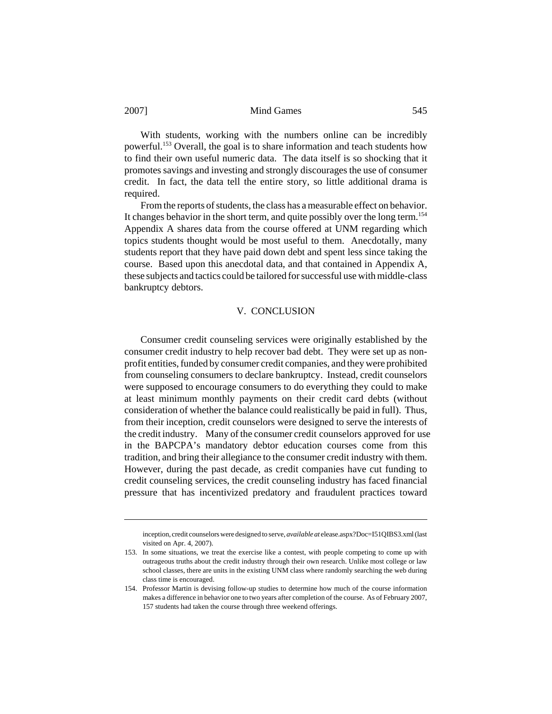With students, working with the numbers online can be incredibly powerful.153 Overall, the goal is to share information and teach students how to find their own useful numeric data. The data itself is so shocking that it promotes savings and investing and strongly discourages the use of consumer credit. In fact, the data tell the entire story, so little additional drama is required.

From the reports of students, the class has a measurable effect on behavior. It changes behavior in the short term, and quite possibly over the long term.<sup>154</sup> Appendix A shares data from the course offered at UNM regarding which topics students thought would be most useful to them. Anecdotally, many students report that they have paid down debt and spent less since taking the course. Based upon this anecdotal data, and that contained in Appendix A, these subjects and tactics could be tailored for successful use with middle-class bankruptcy debtors.

#### V. CONCLUSION

Consumer credit counseling services were originally established by the consumer credit industry to help recover bad debt. They were set up as nonprofit entities, funded by consumer credit companies, and they were prohibited from counseling consumers to declare bankruptcy. Instead, credit counselors were supposed to encourage consumers to do everything they could to make at least minimum monthly payments on their credit card debts (without consideration of whether the balance could realistically be paid in full). Thus, from their inception, credit counselors were designed to serve the interests of the credit industry. Many of the consumer credit counselors approved for use in the BAPCPA's mandatory debtor education courses come from this tradition, and bring their allegiance to the consumer credit industry with them. However, during the past decade, as credit companies have cut funding to credit counseling services, the credit counseling industry has faced financial pressure that has incentivized predatory and fraudulent practices toward

inception, credit counselors were designed to serve, *available at* elease.aspx?Doc=I51QIBS3.xml (last visited on Apr. 4, 2007).

<sup>153.</sup> In some situations, we treat the exercise like a contest, with people competing to come up with outrageous truths about the credit industry through their own research. Unlike most college or law school classes, there are units in the existing UNM class where randomly searching the web during class time is encouraged.

<sup>154.</sup> Professor Martin is devising follow-up studies to determine how much of the course information makes a difference in behavior one to two years after completion of the course. As of February 2007, 157 students had taken the course through three weekend offerings.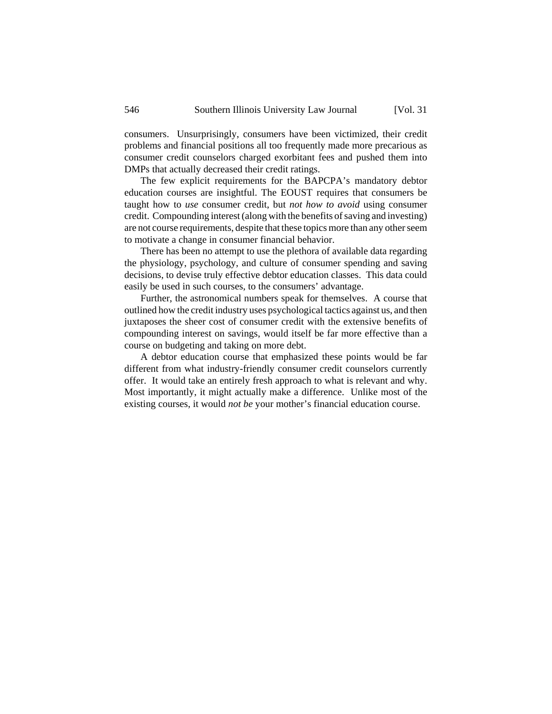consumers. Unsurprisingly, consumers have been victimized, their credit problems and financial positions all too frequently made more precarious as consumer credit counselors charged exorbitant fees and pushed them into DMPs that actually decreased their credit ratings.

The few explicit requirements for the BAPCPA's mandatory debtor education courses are insightful. The EOUST requires that consumers be taught how to *use* consumer credit, but *not how to avoid* using consumer credit. Compounding interest (along with the benefits of saving and investing) are not course requirements, despite that these topics more than any other seem to motivate a change in consumer financial behavior.

There has been no attempt to use the plethora of available data regarding the physiology, psychology, and culture of consumer spending and saving decisions, to devise truly effective debtor education classes. This data could easily be used in such courses, to the consumers' advantage.

Further, the astronomical numbers speak for themselves. A course that outlined how the credit industry uses psychological tactics against us, and then juxtaposes the sheer cost of consumer credit with the extensive benefits of compounding interest on savings, would itself be far more effective than a course on budgeting and taking on more debt.

A debtor education course that emphasized these points would be far different from what industry-friendly consumer credit counselors currently offer. It would take an entirely fresh approach to what is relevant and why. Most importantly, it might actually make a difference. Unlike most of the existing courses, it would *not be* your mother's financial education course.